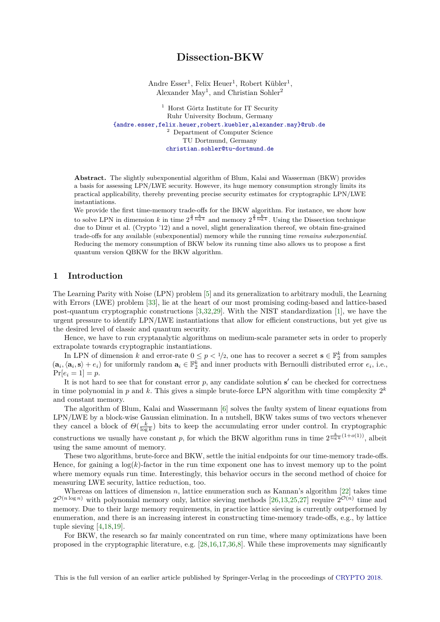# **Dissection-BKW**

Andre Esser<sup>1</sup>, Felix Heuer<sup>1</sup>, Robert Kübler<sup>1</sup>, Alexander May<sup>1</sup>, and Christian Sohler<sup>2</sup>

<sup>1</sup> Horst Görtz Institute for IT Security Ruhr University Bochum, Germany [{andre.esser,felix.heuer,robert.kuebler,alexander.may}@rub.de](mailto:andre.esser@rub.de) <sup>2</sup> Department of Computer Science TU Dortmund, Germany [christian.sohler@tu-dortmund.de](mailto:christian.sohler@tu-dortmund.de)

**Abstract.** The slightly subexponential algorithm of Blum, Kalai and Wasserman (BKW) provides a basis for assessing LPN/LWE security. However, its huge memory consumption strongly limits its practical applicability, thereby preventing precise security estimates for cryptographic LPN/LWE instantiations.

We provide the first time-memory trade-offs for the BKW algorithm. For instance, we show how to solve LPN in dimension *k* in time  $2^{\frac{4}{3}\frac{k}{\log k}}$  and memory  $2^{\frac{2}{3}\frac{k}{\log k}}$ . Using the Dissection technique due to Dinur et al. (Crypto '12) and a novel, slight generalization thereof, we obtain fine-grained trade-offs for any available (subexponential) memory while the running time *remains subexponential*. Reducing the memory consumption of BKW below its running time also allows us to propose a first quantum version QBKW for the BKW algorithm.

## **1 Introduction**

The Learning Parity with Noise (LPN) problem [\[5\]](#page-29-0) and its generalization to arbitrary moduli, the Learning with Errors (LWE) problem [\[33\]](#page-30-0), lie at the heart of our most promising coding-based and lattice-based post-quantum cryptographic constructions [\[3,](#page-29-1)[32,](#page-30-1)[29\]](#page-30-2). With the NIST standardization [\[1\]](#page-29-2), we have the urgent pressure to identify LPN/LWE instantiations that allow for efficient constructions, but yet give us the desired level of classic and quantum security.

Hence, we have to run cryptanalytic algorithms on medium-scale parameter sets in order to properly extrapolate towards cryptographic instantiations.

In LPN of dimension *k* and error-rate  $0 \leq p < 1/2$ , one has to recover a secret  $\mathbf{s} \in \mathbb{F}_2^k$  from samples  $(\mathbf{a}_i, \langle \mathbf{a}_i, \mathbf{s} \rangle + e_i)$  for uniformly random  $\mathbf{a}_i \in \mathbb{F}_2^k$  and inner products with Bernoulli distributed error  $e_i$ , i.e.,  $Pr[e_i = 1] = p$ .

It is not hard to see that for constant error  $p$ , any candidate solution  $s'$  can be checked for correctness in time polynomial in  $p$  and  $k$ . This gives a simple brute-force LPN algorithm with time complexity  $2^k$ and constant memory.

The algorithm of Blum, Kalai and Wassermann [\[6\]](#page-29-3) solves the faulty system of linear equations from LPN/LWE by a block-wise Gaussian elimination. In a nutshell, BKW takes sums of two vectors whenever they cancel a block of  $\Theta(\frac{k}{\log k})$  bits to keep the accumulating error under control. In cryptographic constructions we usually have constant p, for which the BKW algorithm runs in time  $2^{\frac{k}{\log k}(1+o(1))}$ , albeit using the same amount of memory.

These two algorithms, brute-force and BKW, settle the initial endpoints for our time-memory trade-offs. Hence, for gaining a  $log(k)$ -factor in the run time exponent one has to invest memory up to the point where memory equals run time. Interestingly, this behavior occurs in the second method of choice for measuring LWE security, lattice reduction, too.

Whereas on lattices of dimension *n*, lattice enumeration such as Kannan's algorithm [\[22\]](#page-30-3) takes time  $2^{\mathcal{O}(n \log n)}$  with polynomial memory only, lattice sieving methods [\[26,](#page-30-4)[13](#page-29-4)[,25](#page-30-5)[,27\]](#page-30-6) require  $2^{\mathcal{O}(n)}$  time and memory. Due to their large memory requirements, in practice lattice sieving is currently outperformed by enumeration, and there is an increasing interest in constructing time-memory trade-offs, e.g., by lattice tuple sieving [\[4,](#page-29-5)[18,](#page-30-7)[19\]](#page-30-8).

For BKW, the research so far mainly concentrated on run time, where many optimizations have been proposed in the cryptographic literature, e.g. [\[28](#page-30-9)[,16](#page-30-10)[,17,](#page-30-11)[36](#page-30-12)[,8\]](#page-29-6). While these improvements may significantly

This is the full version of an earlier article published by Springer-Verlag in the proceedings of [CRYPTO 2018.](https://crypto.iacr.org/2018/)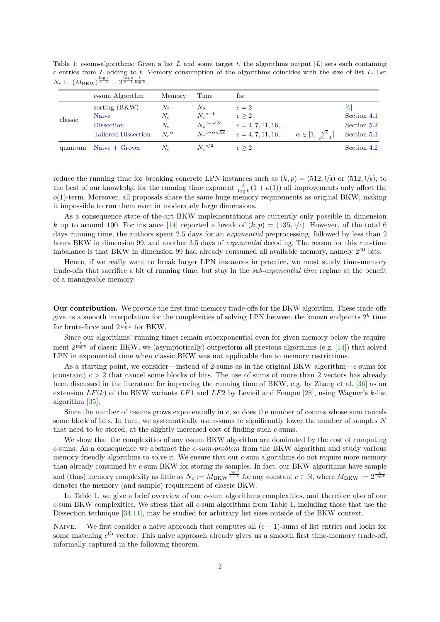<span id="page-1-0"></span>Table 1: *c*-sum-algorithms: Given a list *L* and some target *t*, the algorithms output |*L*| sets each containing *c* entries from *L* adding to *t*. Memory consumption of the algorithms coincides with the size of list *L*. Let  $N_c := (M_{\rm BKW})^{\frac{\log c}{c-1}} = 2^{\frac{\log c}{c-1}\frac{k}{\log k}}.$ 

|         | c-sum Algorithm                                                           | Memory                                 | Time                                                                           | for                                                                                                                          |                                                  |
|---------|---------------------------------------------------------------------------|----------------------------------------|--------------------------------------------------------------------------------|------------------------------------------------------------------------------------------------------------------------------|--------------------------------------------------|
| classic | sorting (BKW)<br>Naive<br><b>Dissection</b><br><b>Tailored Dissection</b> | N2<br>$N_c$<br>$N_c$<br>$N_c^{\alpha}$ | $N_2$<br>$N_c{}^{c-1}$<br>$N_c{}^{c-\sqrt{2c}}$<br>$N_c{}^{c-\alpha\sqrt{2c}}$ | $c=2$<br>c > 2<br>$c = 4, 7, 11, 16, \ldots$<br>$c = 4, 7, 11, 16, \ldots \quad \alpha \in [1, \frac{\sqrt{c}}{\sqrt{c}-1}]$ | [6]<br>Section 4.1<br>Section 5.2<br>Section 5.3 |
| quantum | $Naive + Grover$                                                          | $N_c$                                  | $N_c{}^{c/2}$                                                                  | c > 2                                                                                                                        | Section 4.2                                      |

reduce the running time for breaking concrete LPN instances such as  $(k, p) = (512, \frac{1}{4})$  or  $(512, \frac{1}{8})$ , to the best of our knowledge for the running time exponent  $\frac{k}{\log k}(1 + o(1))$  all improvements only affect the *o*(1)-term. Moreover, all proposals share the same huge memory requirements as original BKW, making it impossible to run them even in moderately large dimensions.

As a consequence state-of-the-art BKW implementations are currently only possible in dimension *k* up to around 100. For instance [\[14\]](#page-30-13) reported a break of  $(k, p) = (135, \frac{1}{4})$ . However, of the total 6 days running time, the authors spent 2.5 days for an *exponential* preprocessing, followed by less than 2 hours BKW in dimension 99, and another 3.5 days of *exponential* decoding. The reason for this run-time imbalance is that BKW in dimension 99 had already consumed all available memory, namely  $2^{40}$  bits.

Hence, if we really want to break larger LPN instances in practice, we must study time-memory trade-offs that sacrifice a bit of running time, but stay in the *sub-exponential time* regime at the benefit of a manageable memory.

**Our contribution.** We provide the first time-memory trade-offs for the BKW algorithm. These trade-offs give us a smooth interpolation for the complexities of solving LPN between the known endpoints  $2^k$  time for brute-force and  $2^{\frac{k}{\log k}}$  for BKW.

Since our algorithms' running times remain subexponential even for given memory below the requirement  $2^{\frac{k}{\log k}}$  of classic BKW, we (asymptotically) outperform all previous algorithms (e.g. [\[14\]](#page-30-13)) that solved LPN in exponential time when classic BKW was not applicable due to memory restrictions.

As a starting point, we consider—instead of 2-sums as in the original BKW algorithm—*c*-sums for (constant)  $c > 2$  that cancel some blocks of bits. The use of sums of more than 2 vectors has already been discussed in the literature for improving the running time of BKW, e.g. by Zhang et al. [\[36\]](#page-30-12) as an extension *LF*(*k*) of the BKW variants *LF*1 and *LF*2 by Levieil and Fouque [\[28\]](#page-30-9), using Wagner's *k*-list algorithm [\[35\]](#page-30-14).

Since the number of *c*-sums grows exponentially in *c*, so does the number of *c*-sums whose sum cancels some block of bits. In turn, we systematically use *c*-sums to significantly lower the number of samples *N* that need to be stored, at the slightly increased cost of finding such *c*-sums.

We show that the complexities of any *c*-sum BKW algorithm are dominated by the cost of computing *c*-sums. As a consequence we abstract the *c-sum-problem* from the BKW algorithm and study various memory-friendly algorithms to solve it. We ensure that our *c*-sum algorithms do not require more memory than already consumed by *c*-sum BKW for storing its samples. In fact, our BKW algorithms have sample and (thus) memory complexity as little as  $N_c := M_{\text{BKW}}^{\frac{\log c}{c-1}}$  for any constant  $c \in \mathbb{N}$ , where  $M_{\text{BKW}} := 2^{\frac{k}{\log k}}$ denotes the memory (and sample) requirement of classic BKW.

In Table [1,](#page-1-0) we give a brief overview of our *c*-sum algorithms complexities, and therefore also of our *c*-sum BKW complexities. We stress that all *c*-sum algorithms from Table [1,](#page-1-0) including those that use the Dissection technique [\[34,](#page-30-15)[11\]](#page-29-7), may be studied for arbitrary list sizes outside of the BKW context.

<span id="page-1-1"></span>Naive. We first consider a naive approach that computes all (*c* − 1)-sums of list entries and looks for some matching  $c<sup>th</sup>$  vector. This naive approach already gives us a smooth first time-memory trade-off, informally captured in the following theorem.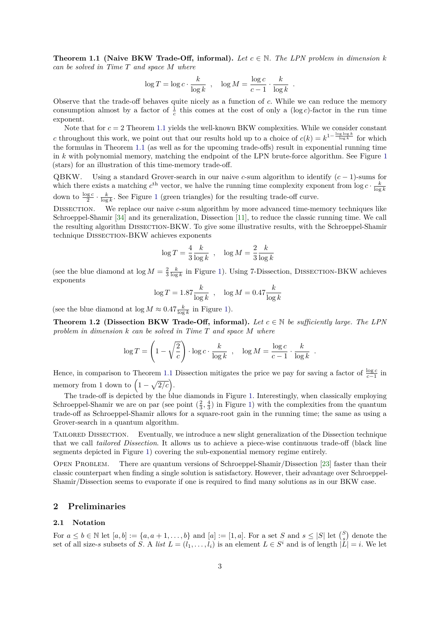**Theorem 1.1 (Naive BKW Trade-Off, informal).** Let  $c \in \mathbb{N}$ . The LPN problem in dimension k *can be solved in Time T and space M where*

$$
\log T = \log c \cdot \frac{k}{\log k} , \quad \log M = \frac{\log c}{c - 1} \cdot \frac{k}{\log k}
$$

*.*

Observe that the trade-off behaves quite nicely as a function of *c*. While we can reduce the memory consumption almost by a factor of  $\frac{1}{c}$  this comes at the cost of only a (log *c*)-factor in the run time exponent.

Note that for *c* = 2 Theorem [1.1](#page-1-1) yields the well-known BKW complexities. While we consider constant *c* throughout this work, we point out that our results hold up to a choice of  $c(k) = k^{1-\frac{\log \log k}{\log k}}$  for which the formulas in Theorem [1.1](#page-1-1) (as well as for the upcoming trade-offs) result in exponential running time in *k* with polynomial memory, matching the endpoint of the LPN brute-force algorithm. See Figure [1](#page-3-0) (stars) for an illustration of this time-memory trade-off.

QBKW. Using a standard Grover-search in our naive *c*-sum algorithm to identify (*c* − 1)-sums for which there exists a matching  $c^{\text{th}}$  vector, we halve the running time complexity exponent from  $\log c \cdot \frac{k}{\log k}$ down to  $\frac{\log c}{2} \cdot \frac{k}{\log k}$ . See Figure [1](#page-3-0) (green triangles) for the resulting trade-off curve.

Dissection. We replace our naive *c*-sum algorithm by more advanced time-memory techniques like Schroeppel-Shamir [\[34\]](#page-30-15) and its generalization, Dissection [\[11\]](#page-29-7), to reduce the classic running time. We call the resulting algorithm Dissection-BKW. To give some illustrative results, with the Schroeppel-Shamir technique DISSECTION-BKW achieves exponents

$$
\log T = \frac{4}{3} \frac{k}{\log k} , \quad \log M = \frac{2}{3} \frac{k}{\log k}
$$

(see the blue diamond at  $\log M = \frac{2}{3} \frac{k}{\log k}$  in Figure [1\)](#page-3-0). Using 7-Dissection, DISSECTION-BKW achieves exponents

<span id="page-2-0"></span>
$$
\log T = 1.87 \frac{k}{\log k} , \quad \log M = 0.47 \frac{k}{\log k}
$$

(see the blue diamond at  $\log M \approx 0.47 \frac{k}{\log k}$  in Figure [1\)](#page-3-0).

**Theorem 1.2 (Dissection BKW Trade-Off, informal).** Let  $c \in \mathbb{N}$  be sufficiently large. The LPN *problem in dimension k can be solved in Time T and space M where*

$$
\log T = \left(1 - \sqrt{\frac{2}{c}}\right) \cdot \log c \cdot \frac{k}{\log k} , \quad \log M = \frac{\log c}{c - 1} \cdot \frac{k}{\log k} .
$$

Hence, in comparison to Theorem [1.1](#page-1-1) Dissection mitigates the price we pay for saving a factor of  $\frac{\log c}{c-1}$  in memory from 1 down to  $(1-\sqrt{2/c})$ .

The trade-off is depicted by the blue diamonds in Figure [1.](#page-3-0) Interestingly, when classically employing Schroeppel-Shamir we are on par (see point  $(\frac{2}{3}, \frac{4}{3})$  in Figure [1\)](#page-3-0) with the complexities from the quantum trade-off as Schroeppel-Shamir allows for a square-root gain in the running time; the same as using a Grover-search in a quantum algorithm.

TAILORED DISSECTION. Eventually, we introduce a new slight generalization of the Dissection technique that we call *tailored Dissection*. It allows us to achieve a piece-wise continuous trade-off (black line segments depicted in Figure [1\)](#page-3-0) covering the sub-exponential memory regime entirely.

Open Problem. There are quantum versions of Schroeppel-Shamir/Dissection [\[23\]](#page-30-16) faster than their classic counterpart when finding a single solution is satisfactory. However, their advantage over Schroeppel-Shamir/Dissection seems to evaporate if one is required to find many solutions as in our BKW case.

## **2 Preliminaries**

#### **2.1 Notation**

For  $a \leq b \in \mathbb{N}$  let  $[a, b] := \{a, a + 1, \ldots, b\}$  and  $[a] := [1, a]$ . For a set *S* and  $s \leq |S|$  let  $\binom{S}{s}$  denote the set of all size-s subsets of *S*. A *list*  $L = (l_1, \ldots, l_i)$  is an element  $L \in S^i$  and is of length  $|\tilde{L}| = i$ . We let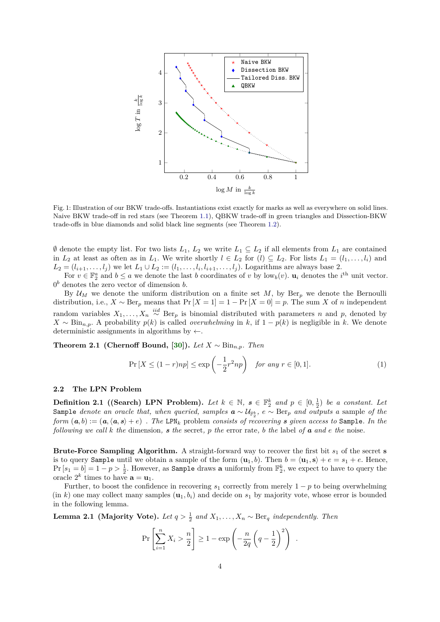<span id="page-3-0"></span>

Fig. 1: Illustration of our BKW trade-offs. Instantiations exist exactly for marks as well as everywhere on solid lines. Naive BKW trade-off in red stars (see Theorem [1.1\)](#page-1-1), QBKW trade-off in green triangles and Dissection-BKW trade-offs in blue diamonds and solid black line segments (see Theorem [1.2\)](#page-2-0).

∅ denote the empty list. For two lists *L*1, *L*<sup>2</sup> we write *L*<sup>1</sup> ⊆ *L*<sup>2</sup> if all elements from *L*<sup>1</sup> are contained in  $L_2$  at least as often as in  $L_1$ . We write shortly  $l \in L_2$  for  $(l) \subseteq L_2$ . For lists  $L_1 = (l_1, \ldots, l_i)$  and  $L_2 = (l_{i+1}, \ldots, l_j)$  we let  $L_1 \cup L_2 := (l_1, \ldots, l_i, l_{i+1}, \ldots, l_j)$ . Logarithms are always base 2.

For  $v \in \mathbb{F}_2^a$  and  $b \le a$  we denote the last *b* coordinates of *v* by low<sub>*b*</sub>(*v*).  $\mathbf{u}_i$  denotes the *i*<sup>th</sup> unit vector. 0 *<sup>b</sup>* denotes the zero vector of dimension *b*.

By  $U_M$  we denote the uniform distribution on a finite set  $M$ , by  $Ber_p$  we denote the Bernoulli distribution, i.e.,  $X \sim \text{Ber}_p$  means that  $\Pr[X=1] = 1 - \Pr[X=0] = p$ . The sum X of *n* independent random variables  $X_1, \ldots, X_n \stackrel{iid}{\sim} \text{Ber}_p$  is binomial distributed with parameters *n* and *p*, denoted by  $X \sim \text{Bin}_{n,p}$ . A probability  $p(k)$  is called *overwhelming* in *k*, if  $1 - p(k)$  is negligible in *k*. We denote deterministic assignments in algorithms by  $\leftarrow$ .

<span id="page-3-1"></span>**Theorem 2.1 (Chernoff Bound, [\[30\]](#page-30-17)**). *Let*  $X \sim Bin_{n,p}$ *. Then* 

$$
\Pr\left[X \le (1-r)np\right] \le \exp\left(-\frac{1}{2}r^2np\right) \quad \text{for any } r \in [0,1].\tag{1}
$$

#### **2.2 The LPN Problem**

**Definition 2.1** ((Search) LPN Problem). Let  $k \in \mathbb{N}$ ,  $s \in \mathbb{F}_2^k$  and  $p \in [0, \frac{1}{2})$  be a constant. Let  $\texttt{Sample}$  *denote an oracle that, when queried, samples*  $\boldsymbol{a} \sim \mathcal{U}_{\mathbb{F}_2^k}$ ,  $e \sim \text{Ber}_p$  *and outputs* a sample of the *form*  $(a, b) := (a, \langle a, s \rangle + e)$  *. The LPN<sub>k</sub> problem consists of recovering s given access to* Sample*. In the* following we call k the dimension, s the secret, p the error rate, b the label of **a** and e the noise.

**Brute-Force Sampling Algorithm.** A straight-forward way to recover the first bit *s*<sup>1</sup> of the secret **s** is to query Sample until we obtain a sample of the form  $(\mathbf{u}_1, b)$ . Then  $b = \langle \mathbf{u}_1, \mathbf{s} \rangle + e = s_1 + e$ . Hence,  $Pr[s_1 = b] = 1 - p > \frac{1}{2}$ . However, as **Sample** draws **a** uniformly from  $\mathbb{F}_2^k$ , we expect to have to query the oracle  $2^k$  times to have  $\mathbf{a} = \mathbf{u}_1$ .

Further, to boost the confidence in recovering  $s_1$  correctly from merely  $1 - p$  to being overwhelming  $(\text{in } k)$  one may collect many samples  $(\mathbf{u}_1, b_i)$  and decide on  $s_1$  by majority vote, whose error is bounded in the following lemma.

**Lemma 2.1 (Majority Vote).** *Let*  $q > \frac{1}{2}$  and  $X_1, \ldots, X_n \sim \text{Ber}_q$  *independently. Then* 

<span id="page-3-2"></span>
$$
\Pr\left[\sum_{i=1}^{n} X_i > \frac{n}{2}\right] \ge 1 - \exp\left(-\frac{n}{2q}\left(q - \frac{1}{2}\right)^2\right) .
$$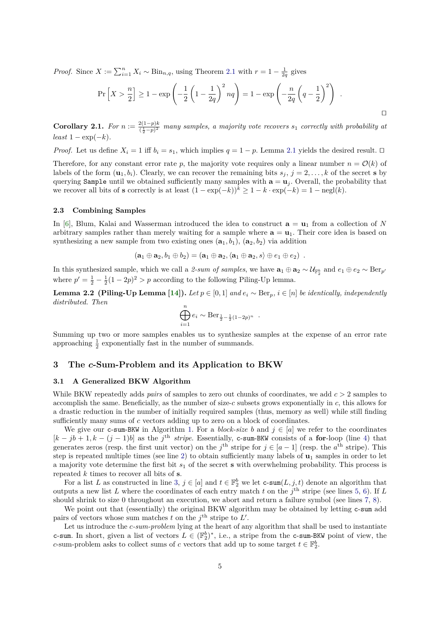*Proof.* Since  $X := \sum_{i=1}^{n} X_i \sim \text{Bin}_{n,q}$ , using Theorem [2.1](#page-3-1) with  $r = 1 - \frac{1}{2q}$  gives

$$
\Pr\left[X > \frac{n}{2}\right] \ge 1 - \exp\left(-\frac{1}{2}\left(1 - \frac{1}{2q}\right)^2 nq\right) = 1 - \exp\left(-\frac{n}{2q}\left(q - \frac{1}{2}\right)^2\right) \; .
$$

 $\Box$ 

<span id="page-4-2"></span>**Corollary 2.1.** *For*  $n := \frac{2(1-p)k}{(1-p)^2}$  $\frac{2(1-p)\kappa}{(\frac{1}{2}-p)^2}$  many samples, a majority vote recovers  $s_1$  correctly with probability at  $least 1 - exp(-k)$ .

*Proof.* Let us define  $X_i = 1$  iff  $b_i = s_1$ , which implies  $q = 1 - p$ . Lemma [2.1](#page-3-2) yields the desired result.  $\Box$ 

Therefore, for any constant error rate p, the majority vote requires only a linear number  $n = \mathcal{O}(k)$  of labels of the form  $(\mathbf{u}_1, b_i)$ . Clearly, we can recover the remaining bits  $s_j$ ,  $j = 2, \ldots, k$  of the secret **s** by querying Sample until we obtained sufficiently many samples with  $\mathbf{a} = \mathbf{u}_j$ . Overall, the probability that we recover all bits of **s** correctly is at least  $(1 - \exp(-k))^k \ge 1 - k \cdot \exp(-k) = 1 - \text{negl}(k)$ .

#### **2.3 Combining Samples**

In [\[6\]](#page-29-3), Blum, Kalai and Wasserman introduced the idea to construct  $\mathbf{a} = \mathbf{u}_1$  from a collection of N arbitrary samples rather than merely waiting for a sample where  $\mathbf{a} = \mathbf{u}_1$ . Their core idea is based on synthesizing a new sample from two existing ones  $(a_1, b_1)$ ,  $(a_2, b_2)$  via addition

$$
(\mathbf{a}_1 \oplus \mathbf{a}_2, b_1 \oplus b_2) = (\mathbf{a}_1 \oplus \mathbf{a}_2, \langle \mathbf{a}_1 \oplus \mathbf{a}_2, s \rangle \oplus e_1 \oplus e_2) .
$$

In this synthesized sample, which we call a *2-sum of samples*, we have  $\mathbf{a}_1 \oplus \mathbf{a}_2 \sim \mathcal{U}_{\mathbb{F}_2^k}$  and  $e_1 \oplus e_2 \sim \text{Ber}_{p'}$ where  $p' = \frac{1}{2} - \frac{1}{2}(1 - 2p)^2 > p$  according to the following Piling-Up lemma.

<span id="page-4-1"></span>**Lemma 2.2 (Piling-Up Lemma [\[14\]](#page-30-13)**). Let  $p \in [0,1]$  and  $e_i \sim \text{Ber}_p$ ,  $i \in [n]$  be identically, independently *distributed. Then*

$$
\bigoplus_{i=1}^{n} e_i \sim \text{Ber}_{\frac{1}{2} - \frac{1}{2}(1 - 2p)^n}.
$$

Summing up two or more samples enables us to synthesize samples at the expense of an error rate approaching  $\frac{1}{2}$  exponentially fast in the number of summands.

### **3 The** *c***-Sum-Problem and its Application to BKW**

#### <span id="page-4-0"></span>**3.1 A Generalized BKW Algorithm**

While BKW repeatedly adds *pairs* of samples to zero out chunks of coordinates, we add *c >* 2 samples to accomplish the same. Beneficially, as the number of size-*c* subsets grows exponentially in *c*, this allows for a drastic reduction in the number of initially required samples (thus, memory as well) while still finding sufficiently many sums of *c* vectors adding up to zero on a block of coordinates.

We give our c-sum-BKW in Algorithm [1.](#page-5-0) For a *block-size b* and  $j \in [a]$  we refer to the coordinates  $[k - jb + 1, k - (j - 1)b]$  as the  $j<sup>th</sup>$  *stripe*. Essentially, c-sum-BKW consists of a **for**-loop (line [4\)](#page-4-0) that generates zeros (resp. the first unit vector) on the  $j^{\text{th}}$  stripe for  $j \in [a-1]$  (resp. the  $a^{\text{th}}$  stripe). This step is repeated multiple times (see line [2\)](#page-4-0) to obtain sufficiently many labels of **u**<sup>1</sup> samples in order to let a majority vote determine the first bit *s*<sup>1</sup> of the secret **s** with overwhelming probability. This process is repeated *k* times to recover all bits of **s**.

For a list *L* as constructed in line [3,](#page-4-0)  $j \in [a]$  and  $t \in \mathbb{F}_2^b$  we let c-sum $(L, j, t)$  denote an algorithm that outputs a new list *L* where the coordinates of each entry match *t* on the  $j^{\text{th}}$  stripe (see lines [5,](#page-4-0) [6\)](#page-4-0). If *L* should shrink to size 0 throughout an execution, we abort and return a failure symbol (see lines [7,](#page-4-0) [8\)](#page-4-0).

We point out that (essentially) the original BKW algorithm may be obtained by letting c-sum add pairs of vectors whose sum matches *t* on the  $j<sup>th</sup>$  stripe to  $L'$ .

Let us introduce the *c*-sum-problem lying at the heart of any algorithm that shall be used to instantiate c-sum. In short, given a list of vectors  $L \in (\mathbb{F}_2^b)^*$ , i.e., a stripe from the c-sum-BKW point of view, the *c*-sum-problem asks to collect sums of *c* vectors that add up to some target  $t \in \mathbb{F}_2^b$ .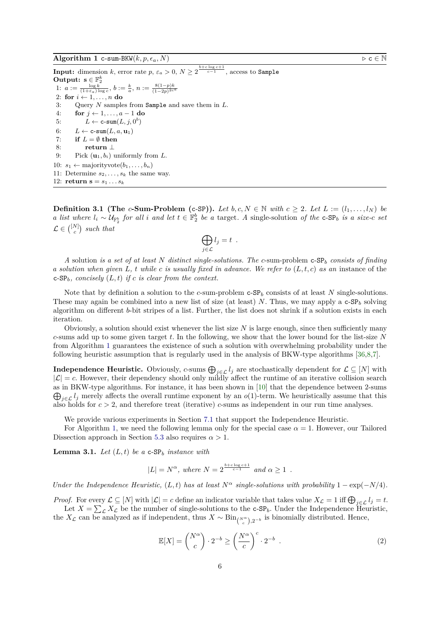<span id="page-5-0"></span>**Input:** dimension *k*, error rate  $p$ ,  $\varepsilon_a > 0$ ,  $N \geq 2^{\frac{b+c\log c +1}{c-1}}$ , access to Sample **Output:**  $\mathbf{s} \in \mathbb{F}_2^k$ 1:  $a := \frac{\log k}{(1+\varepsilon_a)\log c}$ ,  $b := \frac{k}{a}$ ,  $n := \frac{8(1-p)k}{(1-2p)^{2c}}$  $\sqrt{(1-2p)^{2c^a}}$ 2: **for**  $i \leftarrow 1, \ldots, n$  **do** 3: Query *N* samples from Sample and save them in *L*. 4: **for**  $j \leftarrow 1, \ldots, a-1$  **do** 5:  $L \leftarrow \texttt{c-sum}(L, j, 0^b)$ 6:  $L \leftarrow \texttt{c-sum}(L, a, \mathbf{u}_1)$ 7: **if**  $L = \emptyset$  **then** 8: **return** ⊥ 9: Pick  $(\mathbf{u}_1, b_i)$  uniformly from *L*. 10:  $s_1 \leftarrow \text{majorityvote}(b_1, \ldots, b_n)$ 11: Determine  $s_2, \ldots, s_k$  the same way. 12: **return s** =  $s_1 \, ... \, s_k$ 

**Definition 3.1 (The**  $c$ **-Sum-Problem (c-SP)).** Let  $b, c, N \in \mathbb{N}$  with  $c \geq 2$ . Let  $L := (l_1, \ldots, l_N)$  be *a list where*  $l_i \sim \mathcal{U}_{\mathbb{F}_2^b}$  *for all i and let*  $t \in \mathbb{F}_2^b$  *be a* target. A single-solution *of the* **c-SP***b is a size-c set*  $\mathcal{L} \in \binom{[N]}{c}$  such that

$$
\bigoplus_{j\in\mathcal{L}}l_j=t.
$$

*A* solution *is a set of at least N distinct single-solutions. The c*-sum-problem c-SP*<sup>b</sup> consists of finding a solution when given*  $L$ *, t while*  $c$  *is usually fixed in advance. We refer to*  $(L, t, c)$  *as an* instance of the  $c$ -SP<sub>b</sub>, concisely  $(L, t)$  *if*  $c$  *is clear from the context.* 

Note that by definition a solution to the *c*-sum-problem c-SP*<sup>b</sup>* consists of at least *N* single-solutions. These may again be combined into a new list of size (at least) *N*. Thus, we may apply a  $c$ -SP<sub>b</sub> solving algorithm on different *b*-bit stripes of a list. Further, the list does not shrink if a solution exists in each iteration.

Obviously, a solution should exist whenever the list size *N* is large enough, since then sufficiently many *c*-sums add up to some given target *t*. In the following, we show that the lower bound for the list-size *N* from Algorithm [1](#page-5-0) guarantees the existence of such a solution with overwhelming probability under the following heuristic assumption that is regularly used in the analysis of BKW-type algorithms [\[36,](#page-30-12)[8,](#page-29-6)[7\]](#page-29-8).

**Independence Heuristic.** Obviously, *c*-sums  $\bigoplus_{j\in\mathcal{L}}l_j$  are stochastically dependent for  $\mathcal{L} \subseteq [N]$  with  $|\mathcal{L}| = c$ . However, their dependency should only mildly affect the runtime of an iterative collision search as in BKW-type algorithms. For instance, it has been shown in [ [10\]](#page-29-9) that the dependence between 2-sums  $\bigoplus_{j\in\mathcal{L}}l_j$  merely affects the overall runtime exponent by an *o*(1)-term. We heuristically assume that this also holds for *c >* 2, and therefore treat (iterative) *c*-sums as independent in our run time analyses.

We provide various experiments in Section [7.1](#page-25-0) that support the Independence Heuristic.

For Algorithm [1,](#page-5-0) we need the following lemma only for the special case  $\alpha = 1$ . However, our Tailored Dissection approach in Section [5.3](#page-17-0) also requires  $\alpha > 1$ .

<span id="page-5-1"></span>**Lemma 3.1.** *Let*  $(L, t)$  *be a* c-SP<sub>*b*</sub> *instance with* 

$$
|L| = N^{\alpha}, \text{ where } N = 2^{\frac{b+c\log c + 1}{c-1}} \text{ and } \alpha \ge 1.
$$

*Under the Independence Heuristic,*  $(L, t)$  *has at least*  $N^{\alpha}$  *single-solutions with probability*  $1 - \exp(-N/4)$ *.* 

*Proof.* For every  $\mathcal{L} \subseteq [N]$  with  $|\mathcal{L}| = c$  define an indicator variable that takes value  $X_{\mathcal{L}} = 1$  iff  $\bigoplus_{j \in \mathcal{L}} l_j = t$ . Let  $X = \sum_{\mathcal{L}} X_{\mathcal{L}}$  be the number of single-solutions to the c-SP<sub>b</sub>. Under the Independence Heuristic, the  $X_{\mathcal{L}}$  can be analyzed as if independent, thus  $X \sim Bin_{\binom{N^{\alpha}}{c},2^{-b}}$  is binomially distributed. Hence,

<span id="page-5-2"></span>
$$
\mathbb{E}[X] = \binom{N^{\alpha}}{c} \cdot 2^{-b} \ge \left(\frac{N^{\alpha}}{c}\right)^{c} \cdot 2^{-b} \tag{2}
$$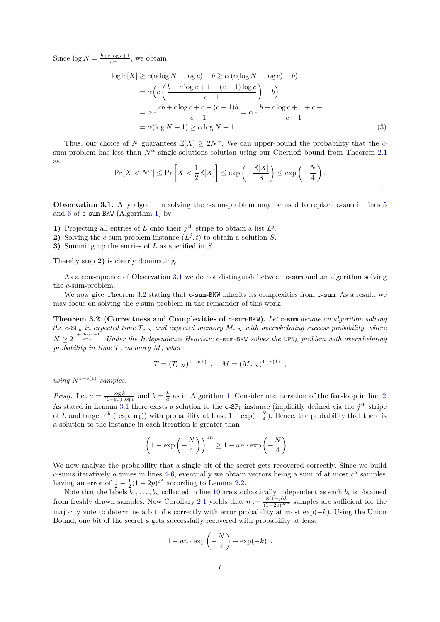Since  $\log N = \frac{b + c \log c + 1}{c - 1}$ , we obtain

$$
\log \mathbb{E}[X] \ge c(\alpha \log N - \log c) - b \ge \alpha (c(\log N - \log c) - b)
$$
  
=  $\alpha \left( c \left( \frac{b + c \log c + 1 - (c - 1) \log c}{c - 1} \right) - b \right)$   
=  $\alpha \cdot \frac{cb + c \log c + c - (c - 1)b}{c - 1} = \alpha \cdot \frac{b + c \log c + 1 + c - 1}{c - 1}$   
=  $\alpha (\log N + 1) \ge \alpha \log N + 1.$  (3)

Thus, our choice of *N* guarantees  $\mathbb{E}[X] > 2N^{\alpha}$ . We can upper-bound the probability that the *c*sum-problem has less than  $N^{\alpha}$  single-solutions solution using our Chernoff bound from Theorem [2.1](#page-3-1) as

$$
\Pr[X < N^{\alpha}] \le \Pr\left[X < \frac{1}{2} \mathbb{E}[X]\right] \le \exp\left(-\frac{\mathbb{E}[X]}{8}\right) \le \exp\left(-\frac{N}{4}\right).
$$

<span id="page-6-0"></span>**Observation 3.1.** Any algorithm solving the *c*-sum-problem may be used to replace c-sum in lines [5](#page-4-0) and [6](#page-4-0) of c-sum-BKW (Algorithm [1\)](#page-5-0) by

**1)** Projecting all entries of *L* onto their  $j^{\text{th}}$  stripe to obtain a list  $L^j$ .

**2**) Solving the *c*-sum-problem instance  $(L^j, t)$  to obtain a solution *S*.

**3)** Summing up the entries of *L* as specified in *S*.

Thereby step **2)** is clearly dominating.

As a consequence of Observation [3.1](#page-6-0) we do not distinguish between c-sum and an algorithm solving the *c*-sum-problem.

We now give Theorem [3.2](#page-6-1) stating that c-sum-BKW inherits its complexities from c-sum. As a result, we may focus on solving the *c*-sum-problem in the remainder of this work.

<span id="page-6-1"></span>**Theorem 3.2 (Correctness and Complexities of** c-sum-BKW**).** *Let* c-sum *denote an algorithm solving the*  $c$ -SP<sub>*b*</sub> *in expected time*  $T_{c,N}$  *and expected memory*  $M_{c,N}$  *with overwhelming success probability, where*  $N \geq 2^{\frac{b+c\log c+1}{c-1}}$ . Under the Independence Heuristic c-sum-BKW solves the LPN<sub>k</sub> problem with overwhelming *probability in time T, memory M, where*

$$
T = (T_{c,N})^{1+o(1)}, \quad M = (M_{c,N})^{1+o(1)}
$$

<span id="page-6-2"></span>*,*

*using*  $N^{1+o(1)}$  *samples.* 

*Proof.* Let  $a = \frac{\log k}{(1+\epsilon_a)\log c}$  and  $b = \frac{k}{a}$  as in Algorithm [1.](#page-5-0) Consider one iteration of the **for**-loop in line [2.](#page-4-0) As stated in Lemma [3.1](#page-5-1) there exists a solution to the  $c$ -SP<sub>b</sub> instance (implicitly defined via the  $j<sup>th</sup>$  stripe of *L* and target  $0^b$  (resp. **u**<sub>1</sub>)) with probability at least  $1 - \exp(-\frac{N}{4})$ . Hence, the probability that there is a solution to the instance in each iteration is greater than

$$
\left(1 - \exp\left(-\frac{N}{4}\right)\right)^{an} \ge 1 - an \cdot \exp\left(-\frac{N}{4}\right) .
$$

We now analyze the probability that a single bit of the secret gets recovered correctly. Since we build *c*-sums iteratively *a* times in lines [4-6,](#page-4-0) eventually we obtain vectors being a sum of at most  $c^a$  samples, having an error of  $\frac{1}{2} - \frac{1}{2}(1 - 2p)^{c^a}$  according to Lemma [2.2.](#page-4-1)

Note that the labels  $b_1, \ldots, b_n$  collected in line [10](#page-4-0) are stochastically independent as each  $b_i$  is obtained from freshly drawn samples. Now Corollary [2.1](#page-4-2) yields that  $n := \frac{8(1-p)k}{(1-p)^{2c}}$  $\frac{8(1-p)\kappa}{(1-2p)^{2c^a}}$  samples are sufficient for the majority vote to determine a bit of **s** correctly with error probability at most exp(−*k*). Using the Union Bound, one bit of the secret **s** gets successfully recovered with probability at least

$$
1 - an \cdot \exp\left(-\frac{N}{4}\right) - \exp(-k) \enspace .
$$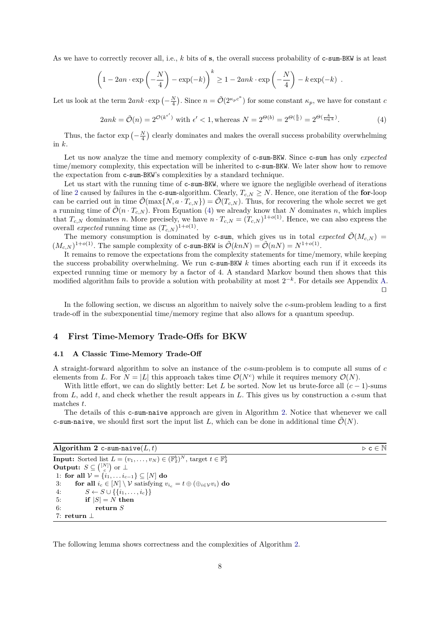As we have to correctly recover all, i.e., *k* bits of **s**, the overall success probability of c-sum-BKW is at least

$$
\left(1 - 2an \cdot \exp\left(-\frac{N}{4}\right) - \exp(-k)\right)^k \ge 1 - 2ank \cdot \exp\left(-\frac{N}{4}\right) - k \exp(-k).
$$

Let us look at the term  $2ank \cdot \exp(-\frac{N}{4})$ . Since  $n = \tilde{\mathcal{O}}(2^{\kappa_p c^a})$  for some constant  $\kappa_p$ , we have for constant *c* 

<span id="page-7-1"></span>
$$
2ank = \tilde{\mathcal{O}}(n) = 2^{\mathcal{O}(k^{\epsilon'})} \text{ with } \epsilon' < 1, \text{whereas } N = 2^{\Theta(b)} = 2^{\Theta(\frac{k}{a})} = 2^{\Theta(\frac{k}{\log k})}. \tag{4}
$$

Thus, the factor  $\exp\left(-\frac{N}{4}\right)$  clearly dominates and makes the overall success probability overwhelming in *k*.

Let us now analyze the time and memory complexity of c-sum-BKW. Since c-sum has only *expected* time/memory complexity, this expectation will be inherited to c-sum-BKW. We later show how to remove the expectation from c-sum-BKW's complexities by a standard technique.

Let us start with the running time of c-sum-BKW, where we ignore the negligible overhead of iterations of line [2](#page-4-0) caused by failures in the c-sum-algorithm. Clearly,  $T_{c,N} \geq N$ . Hence, one iteration of the **for**-loop can be carried out in time  $\tilde{\mathcal{O}}(\max\{N, a \cdot T_{c,N}\}) = \tilde{\mathcal{O}}(T_{c,N})$ . Thus, for recovering the whole secret we get a running time of  $\tilde{\mathcal{O}}(n \cdot T_{c,N})$ . From Equation [\(4\)](#page-7-1) we already know that N dominates n, which implies that  $T_{c,N}$  dominates *n*. More precisely, we have  $n \cdot T_{c,N} = (T_{c,N})^{1+o(1)}$ . Hence, we can also express the overall *expected* running time as  $(T_{c,N})^{1+o(1)}$ .

The memory consumption is dominated by **c**-sum, which gives us in total *expected*  $\tilde{\mathcal{O}}(M_{c,N})$  =  $(M_{c,N})^{1+o(1)}$ . The sample complexity of c-sum-BKW is  $\tilde{\mathcal{O}}(knN) = \tilde{\mathcal{O}}(nN) = N^{1+o(1)}$ .

It remains to remove the expectations from the complexity statements for time/memory, while keeping the success probability overwhelming. We run c-sum-BKW *k* times aborting each run if it exceeds its expected running time or memory by a factor of 4. A standard Markov bound then shows that this modified algorithm fails to provide a solution with probability at most  $2^{-k}$ . For details see Appendix [A.](#page-29-10)  $\Box$ 

In the following section, we discuss an algorithm to naively solve the *c*-sum-problem leading to a first trade-off in the subexponential time/memory regime that also allows for a quantum speedup.

## **4 First Time-Memory Trade-Offs for BKW**

#### <span id="page-7-0"></span>**4.1 A Classic Time-Memory Trade-Off**

A straight-forward algorithm to solve an instance of the *c*-sum-problem is to compute all sums of *c* elements from *L*. For  $N = |L|$  this approach takes time  $\mathcal{O}(N^c)$  while it requires memory  $\mathcal{O}(N)$ .

With little effort, we can do slightly better: Let *L* be sorted. Now let us brute-force all  $(c-1)$ -sums from *L*, add *t*, and check whether the result appears in *L*. This gives us by construction a *c*-sum that matches *t*.

The details of this c-sum-naive approach are given in Algorithm [2.](#page-7-2) Notice that whenever we call c-sum-naive, we should first sort the input list L, which can be done in additional time  $\tilde{\mathcal{O}}(N)$ .

## <span id="page-7-2"></span>**Algorithm 2** c-sum-naive $(L, t)$   $\triangleright$  **c**  $\in$  N

**Input:** Sorted list  $L = (v_1, \ldots, v_N) \in (\mathbb{F}_2^b)^N$ , target  $t \in \mathbb{F}_2^b$ **Output:**  $S \subseteq \binom{[N]}{S}$  or  $\perp$ **1:** for all  $V = \{i_1, \ldots, i_{c-1}\}$  ⊆ [*N*] **do** 3: **for all**  $i_c \in [N] \setminus \mathcal{V}$  satisfying  $v_{i_c} = t \oplus (\bigoplus_{i \in \mathcal{V}} v_i)$  **do** 4:  $S \leftarrow S \cup \{\{i_1, ..., i_c\}\}\$ 5: **if**  $|S| = N$  **then** 6: **return** *S* 7: **return** ⊥

<span id="page-7-3"></span>The following lemma shows correctness and the complexities of Algorithm [2.](#page-7-2)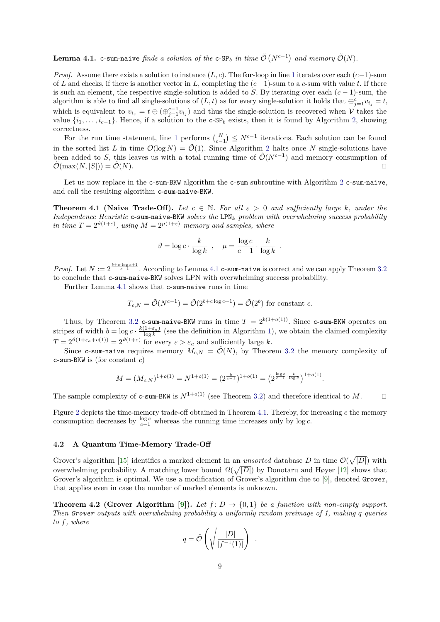Lemma 4.1. c-sum-naive *finds a solution of the* c-SP<sub>*b*</sub> in time  $\tilde{\mathcal{O}}(N^{c-1})$  and memory  $\tilde{\mathcal{O}}(N)$ .

*Proof.* Assume there exists a solution to instance (*L, c*). The **for**-loop in line [1](#page-7-0) iterates over each (*c*−1)-sum of *L* and checks, if there is another vector in *L*, completing the (*c*−1)-sum to a *c*-sum with value *t*. If there is such an element, the respective single-solution is added to *S*. By iterating over each  $(c - 1)$ -sum, the algorithm is able to find all single-solutions of  $(L, t)$  as for every single-solution it holds that  $\bigoplus_{j=1}^{c} v_{i_j} = t$ , which is equivalent to  $v_{i_c} = t \oplus (\oplus_{j=1}^{c-1} v_{i_j})$  and thus the single-solution is recovered when  $\mathcal V$  takes the value  $\{i_1, \ldots, i_{c-1}\}$ . Hence, if a solution to the c-SP<sub>b</sub> exists, then it is found by Algorithm [2,](#page-7-2) showing correctness.

For the run time statement, line [1](#page-7-0) performs  $\binom{N}{c-1}$   $\leq N^{c-1}$  iterations. Each solution can be found in the sorted list *L* in time  $\mathcal{O}(\log N) = \tilde{\mathcal{O}}(1)$ . Since Algorithm [2](#page-7-2) halts once *N* single-solutions have been added to *S*, this leaves us with a total running time of  $\tilde{\mathcal{O}}(N^{c-1})$  and memory consumption of  $\tilde{\mathcal{O}}(\max(N, |S|)) = \tilde{\mathcal{O}}(N).$ 

Let us now replace in the c-sum-BKW algorithm the c-sum subroutine with Algorithm [2](#page-7-2) c-sum-naive, and call the resulting algorithm c-sum-naive-BKW.

<span id="page-8-1"></span>**Theorem 4.1 (Naive Trade-Off).** Let  $c \in \mathbb{N}$ . For all  $\varepsilon > 0$  and sufficiently large k, under the *Independence Heuristic* c-sum-naive-BKW *solves the* LPN*<sup>k</sup> problem with overwhelming success probability in time*  $T = 2^{\vartheta(1+\varepsilon)}$ , using  $M = 2^{\mu(1+\varepsilon)}$  *memory and samples, where* 

$$
\vartheta = \log c \cdot \frac{k}{\log k} , \quad \mu = \frac{\log c}{c - 1} \cdot \frac{k}{\log k} .
$$

*Proof.* Let  $N := 2^{\frac{b+c \cdot \log c + 1}{c-1}}$ . According to Lemma [4.1](#page-7-3) c-sum-naive is correct and we can apply Theorem [3.2](#page-6-1) to conclude that c-sum-naive-BKW solves LPN with overwhelming success probability.

Further Lemma [4.1](#page-7-3) shows that c-sum-naive runs in time

$$
T_{c,N} = \tilde{\mathcal{O}}(N^{c-1}) = \tilde{\mathcal{O}}(2^{b+c \log c + 1}) = \tilde{\mathcal{O}}(2^b)
$$
 for constant c.

Thus, by Theorem [3.2](#page-6-1) c-sum-naive-BKW runs in time  $T = 2^{b(1+o(1))}$ . Since c-sum-BKW operates on stripes of width  $b = \log c \cdot \frac{k(1+\varepsilon_a)}{\log k}$  (see the definition in Algorithm [1\)](#page-5-0), we obtain the claimed complexity  $T = 2^{\vartheta(1+\varepsilon_a + o(1))} = 2^{\vartheta(1+\varepsilon)}$  for every  $\varepsilon > \varepsilon_a$  and sufficiently large *k*.

Since c-sum-naive requires memory  $M_{c,N} = \tilde{\mathcal{O}}(N)$ , by Theorem [3.2](#page-6-1) the memory complexity of c-sum-BKW is (for constant *c*)

$$
M = (M_{c,N})^{1+o(1)} = N^{1+o(1)} = (2^{\frac{b}{c-1}})^{1+o(1)} = (2^{\frac{\log c}{c-1} \cdot \frac{k}{\log k}})^{1+o(1)}.
$$

The sample complexity of c-sum-BKW is  $N^{1+o(1)}$  (see Theorem [3.2\)](#page-6-1) and therefore identical to *M*.  $\square$ 

Figure [2](#page-9-0) depicts the time-memory trade-off obtained in Theorem [4.1.](#page-8-1) Thereby, for increasing *c* the memory consumption decreases by  $\frac{\log c}{c-1}$  whereas the running time increases only by log *c*.

#### <span id="page-8-0"></span>**4.2 A Quantum Time-Memory Trade-Off**

Grover's algorithm [\[15\]](#page-30-18) identifies a marked element in an *unsorted* database D in time  $\mathcal{O}(\sqrt{|D|})$  with overwhelming probability. A matching lower bound  $\Omega(\sqrt{|D|})$  by Donotaru and Høyer [\[12\]](#page-29-11) shows that Grover's algorithm is optimal. We use a modification of Grover's algorithm due to [\[9\]](#page-29-12), denoted Grover, that applies even in case the number of marked elements is unknown.

<span id="page-8-2"></span>**Theorem 4.2 (Grover Algorithm [\[9\]](#page-29-12)).** Let  $f: D \to \{0,1\}$  be a function with non-empty support. *Then Grover outputs with overwhelming probability a uniformly random preimage of 1, making q queries to f, where*

$$
q = \tilde{\mathcal{O}}\left(\sqrt{\frac{|D|}{|f^{-1}(1)|}}\right) .
$$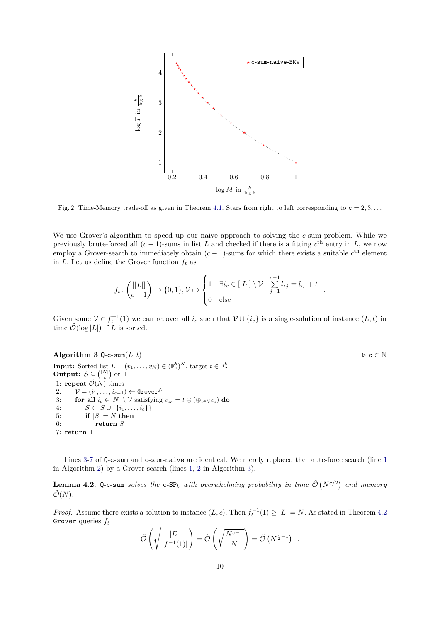<span id="page-9-0"></span>

Fig. 2: Time-Memory trade-off as given in Theorem [4.1.](#page-8-1) Stars from right to left corresponding to  $c = 2, 3, \ldots$ 

We use Grover's algorithm to speed up our naive approach to solving the *c*-sum-problem. While we previously brute-forced all  $(c-1)$ -sums in list *L* and checked if there is a fitting  $c^{\text{th}}$  entry in *L*, we now employ a Grover-search to immediately obtain  $(c-1)$ -sums for which there exists a suitable  $c<sup>th</sup>$  element in *L*. Let us define the Grover function  $f_t$  as

$$
f_t \colon \binom{[[L]]}{c-1} \to \{0,1\}, \mathcal{V} \mapsto \begin{cases} 1 & \exists i_c \in [[L]] \setminus \mathcal{V} \colon \sum_{j=1}^{c-1} l_{ij} = l_{i_c} + t \\ 0 & \text{else} \end{cases}.
$$

Given some  $V \in f_t^{-1}(1)$  we can recover all  $i_c$  such that  $V \cup \{i_c\}$  is a single-solution of instance  $(L, t)$  in time  $\tilde{\mathcal{O}}(\log |L|)$  if *L* is sorted.

<span id="page-9-1"></span>**Algorithm 3** Q-c-sum $(L, t)$   $\triangleright$  c  $\in$  N

**Input:** Sorted list  $L = (v_1, \ldots, v_N) \in (\mathbb{F}_2^b)^N$ , target  $t \in \mathbb{F}_2^b$ **Output:**  $S \subseteq \binom{[N]}{c}$  or  $\perp$ 1: **repeat**  $\tilde{\mathcal{O}}(N)$  times 2:  $\mathcal{V} = (i_1, \ldots, i_{c-1}) \leftarrow \text{Grover}^{f_t}$ 3: **for all**  $i_c \in [N] \setminus \mathcal{V}$  satisfying  $v_{i_c} = t \oplus (\bigoplus_{i \in \mathcal{V}} v_i)$  do 4:  $S \leftarrow S \cup \{\{i_1, ..., i_c\}\}\$ 5: **if**  $|S| = N$  **then** 6: **return** *S* 7: **return** ⊥

Lines [3-7](#page-8-2) of Q-c-sum and c-sum-naive are identical. We merely replaced the brute-force search (line [1](#page-7-0) in Algorithm [2\)](#page-7-2) by a Grover-search (lines [1,](#page-8-2) [2](#page-8-2) in Algorithm [3\)](#page-9-1).

**Lemma 4.2.** Q-c-sum *solves the* c-SP<sub>b</sub> with overwhelming probability in time  $\tilde{\mathcal{O}}(N^{c/2})$  and memory  $\tilde{\mathcal{O}}(N)$ .

*Proof.* Assume there exists a solution to instance  $(L, c)$ . Then  $f_t^{-1}(1) \geq |L| = N$ . As stated in Theorem [4.2](#page-8-2) Grover queries *f<sup>t</sup>*

$$
\tilde{\mathcal{O}}\left(\sqrt{\frac{|D|}{|f^{-1}(1)|}}\right) = \tilde{\mathcal{O}}\left(\sqrt{\frac{N^{c-1}}{N}}\right) = \tilde{\mathcal{O}}\left(N^{\frac{c}{2}-1}\right) .
$$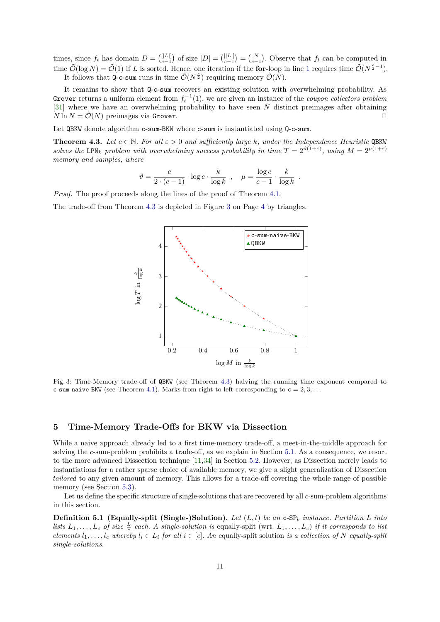times, since  $f_t$  has domain  $D = \binom{[|L|]}{c-1}$  of size  $|D| = \binom{[|L|]}{c-1} = \binom{N}{c-1}$ . Observe that  $f_t$  can be computed in time  $\tilde{\mathcal{O}}(\log N) = \tilde{\mathcal{O}}(1)$  $\tilde{\mathcal{O}}(\log N) = \tilde{\mathcal{O}}(1)$  $\tilde{\mathcal{O}}(\log N) = \tilde{\mathcal{O}}(1)$  if *L* is sorted. Hence, one iteration if the **for**-loop in line 1 requires time  $\tilde{\mathcal{O}}(N^{\frac{c}{2}-1})$ . It follows that Q-c-sum runs in time  $\tilde{\mathcal{O}}(N^{\frac{c}{2}})$  requiring memory  $\tilde{\mathcal{O}}(N)$ .

It remains to show that Q-c-sum recovers an existing solution with overwhelming probability. As Grover returns a uniform element from  $f_t^{-1}(1)$ , we are given an instance of the *coupon collectors problem* [\[31\]](#page-30-19) where we have an overwhelming probability to have seen *N* distinct preimages after obtaining  $N \ln N = \mathcal{O}(N)$  preimages via Grover.

Let QBKW denote algorithm c-sum-BKW where c-sum is instantiated using Q-c-sum.

<span id="page-10-0"></span>**Theorem 4.3.** Let  $c \in \mathbb{N}$ . For all  $\varepsilon > 0$  and sufficiently large k, under the Independence Heuristic QBKW *solves the* LPN<sub>k</sub> problem with overwhelming success probability in time  $T = 2^{\vartheta(1+\varepsilon)}$ , using  $M = 2^{\mu(1+\varepsilon)}$ *memory and samples, where*

$$
\vartheta = \frac{c}{2 \cdot (c-1)} \cdot \log c \cdot \frac{k}{\log k} , \quad \mu = \frac{\log c}{c-1} \cdot \frac{k}{\log k}
$$

*.*

*Proof.* The proof proceeds along the lines of the proof of Theorem [4.1.](#page-8-1)

<span id="page-10-1"></span>The trade-off from Theorem [4.3](#page-10-0) is depicted in Figure [3](#page-10-1) on Page [4](#page-3-0) by triangles.



Fig. 3: Time-Memory trade-off of QBKW (see Theorem [4.3\)](#page-10-0) halving the running time exponent compared to c-sum-naive-BKW (see Theorem [4.1\)](#page-8-1). Marks from right to left corresponding to  $c = 2, 3, \ldots$ 

## **5 Time-Memory Trade-Offs for BKW via Dissection**

While a naive approach already led to a first time-memory trade-off, a meet-in-the-middle approach for solving the *c*-sum-problem prohibits a trade-off, as we explain in Section [5.1.](#page-11-0) As a consequence, we resort to the more advanced Dissection technique [\[11,](#page-29-7)[34\]](#page-30-15) in Section [5.2.](#page-12-0) However, as Dissection merely leads to instantiations for a rather sparse choice of available memory, we give a slight generalization of Dissection *tailored* to any given amount of memory. This allows for a trade-off covering the whole range of possible memory (see Section [5.3\)](#page-17-0).

Let us define the specific structure of single-solutions that are recovered by all *c*-sum-problem algorithms in this section.

<span id="page-10-2"></span>**Definition 5.1 (Equally-split (Single-)Solution).** *Let* (*L, t*) *be an* c-SP*<sup>b</sup> instance. Partition L into lists*  $L_1, \ldots, L_c$  *of size*  $\frac{L}{c}$  *each.* A single-solution is equally-split (wrt.  $L_1, \ldots, L_c$ ) *if it corresponds to list* elements  $l_1, \ldots, l_c$  whereby  $l_i \in L_i$  for all  $i \in [c]$ . An equally-split solution is a collection of N equally-split *single-solutions.*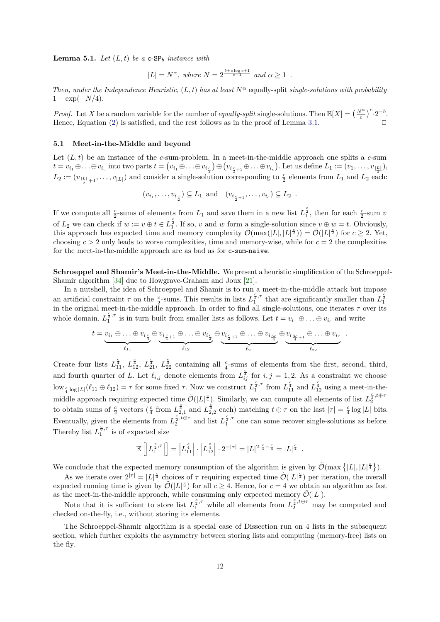**Lemma 5.1.** *Let*  $(L, t)$  *be a* c-SP<sub>*b*</sub> *instance with* 

 $|L| = N^{\alpha}$ , where  $N = 2^{\frac{b + c \log c + 1}{c - 1}}$  and  $\alpha \ge 1$ .

*Then, under the Independence Heuristic,*  $(L, t)$  *has at least*  $N^{\alpha}$  equally-split *single-solutions with probability*  $1 - \exp(-N/4)$ .

*Proof.* Let *X* be a random variable for the number of *equally-split* single-solutions. Then  $\mathbb{E}[X] = \left(\frac{N^{\alpha}}{c}\right)^{c} \cdot 2^{-b}$ . Hence, Equation  $(2)$  is satisfied, and the rest follows as in the proof of Lemma [3.1.](#page-5-1)

#### <span id="page-11-0"></span>**5.1 Meet-in-the-Middle and beyond**

Let  $(L, t)$  be an instance of the *c*-sum-problem. In a meet-in-the-middle approach one splits a *c*-sum  $t = v_{i_1} \oplus \ldots \oplus v_{i_c}$  into two parts  $t = (v_{i_1} \oplus \ldots \oplus v_{i_{\frac{c}{2}}}) \oplus (v_{i_{\frac{c}{2}+1}} \oplus \ldots \oplus v_{i_c})$ . Let us define  $L_1 := (v_1, \ldots, v_{\frac{|L|}{2}})$ ,  $L_2 := (v_{\frac{|L|}{2}+1}, \ldots, v_{|L|})$  and consider a single-solution corresponding to  $\frac{c}{2}$  elements from  $L_1$  and  $L_2$  each:

$$
(v_{i_1},\ldots,v_{i_{\frac{c}{2}}}) \subseteq L_1
$$
 and  $(v_{i_{\frac{c}{2}+1}},\ldots,v_{i_c}) \subseteq L_2$ .

If we compute all  $\frac{c}{2}$ -sums of elements from  $L_1$  and save them in a new list  $L_1^{\frac{c}{2}}$ , then for each  $\frac{c}{2}$ -sum *v* of  $L_2$  we can check if  $w := v \oplus t \in L_1^{\frac{c}{2}}$ . If so, *v* and *w* form a single-solution since  $v \oplus w = t$ . Obviously, this approach has expected time and memory complexity  $\tilde{\mathcal{O}}(\max(|L|, |L|^{\frac{2}{2}})) = \tilde{\mathcal{O}}(|L|^{\frac{2}{2}})$  for  $c \geq 2$ . Yet, choosing  $c > 2$  only leads to worse complexities, time and memory-wise, while for  $c = 2$  the complexities for the meet-in-the-middle approach are as bad as for c-sum-naive.

**Schroeppel and Shamir's Meet-in-the-Middle.** We present a heuristic simplification of the Schroeppel-Shamir algorithm [\[34\]](#page-30-15) due to Howgrave-Graham and Joux [\[21\]](#page-30-20).

In a nutshell, the idea of Schroeppel and Shamir is to run a meet-in-the-middle attack but impose an artificial constraint  $\tau$  on the  $\frac{c}{2}$ -sums. This results in lists  $L_1^{\frac{c}{2},\tau}$ an artificial constraint  $\tau$  on the  $\frac{c}{2}$ -sums. This results in lists  $L_1^{\frac{c}{2},\tau}$  that are significantly smaller than  $L_1^{\frac{c}{2}}$  in the original meet-in-the-middle approach. In order to find all single-soluti whole domain.  $L_1^{\frac{c}{2},\tau}$  $\frac{\overline{a}}{1}$  is in turn built from smaller lists as follows. Let  $t = v_{i_1} \oplus \ldots \oplus v_{i_c}$  and write

$$
t = \underbrace{v_{i_1} \oplus \ldots \oplus v_{i_{\frac{c}{4}}}}_{\ell_{11}} \oplus \underbrace{v_{i_{\frac{c}{4}+1}} \oplus \ldots \oplus v_{i_{\frac{c}{2}}}}_{\ell_{12}} \oplus \underbrace{v_{i_{\frac{c}{2}+1}} \oplus \ldots \oplus v_{i_{\frac{3c}{4}}}}_{\ell_{21}} \oplus \underbrace{v_{i_{\frac{3c}{4}+1}} \oplus \ldots \oplus v_{i_{c}}}_{\ell_{22}}
$$

*.*

Create four lists  $L_{11}^{\frac{c}{4}}$ ,  $L_{12}^{\frac{c}{4}}$ ,  $L_{21}^{\frac{c}{4}}$ ,  $L_{22}^{\frac{c}{4}}$  containing all  $\frac{c}{4}$ -sums of elements from the first, second, third, and fourth quarter of *L*. Let  $\ell_{i,j}$  denote elements from  $L_{ij}^{\frac{c}{4}}$  for  $i, j = 1, 2$ . As a constraint we choose low<sub> $\frac{c}{4}$  log  $|L|(\ell_{11} \oplus \ell_{12}) = \tau$  for some fixed  $\tau$ . Now we construct  $L_1^{\frac{c}{2}, \tau}$ </sub>  $\frac{\frac{c}{2}}{1},^{\tau}$  from  $L_{11}^{\frac{c}{4}}$  and  $L_{12}^{\frac{c}{4}}$  using a meet-in-themiddle approach requiring expected time  $\tilde{\mathcal{O}}(|L|^{\frac{c}{4}})$ . Similarly, we can compute all elements of list  $L_2^{\frac{c}{2}, t \oplus \tau}$  $\overline{2}$ to obtain sums of  $\frac{c}{2}$  vectors  $(\frac{c}{4}$  from  $L_{2,1}^{\frac{c}{4}}$  and  $L_{2,2}^{\frac{c}{4}}$  each) matching  $t \oplus \tau$  on the last  $|\tau| = \frac{c}{4} \log |L|$  bits. Eventually, given the elements from  $L_2^{\frac{c}{2}, i \oplus \tau}$  $\frac{\epsilon}{2}$ ,  $\stackrel{i}{\neq} \theta^{\tau}$  and list  $L_1^{\frac{c}{2},\tau}$ en the elements from  $L_2^{\frac{1}{2},\omega}$  and list  $L_1^{\frac{1}{2},\omega}$  one can some recover single-solutions as before. Thereby list  $L_1^{\frac{c}{2},\tau}$  $i_1^2$ <sup>2</sup> is of expected size

$$
\mathbb{E}\left[\left|L_1^{\frac{c}{2},\tau}\right|\right] = \left|L_{11}^{\frac{c}{4}}\right| \cdot \left|L_{12}^{\frac{c}{4}}\right| \cdot 2^{-|\tau|} = |L|^{2 \cdot \frac{c}{4} - \frac{c}{4}} = |L|^{\frac{c}{4}}.
$$

We conclude that the expected memory consumption of the algorithm is given by  $\tilde{\mathcal{O}}(\max\{|L|, |L|^{\frac{2}{4}})\}.$ 

As we iterate over  $2^{|\tau|} = |L|^{\frac{c}{4}}$  choices of  $\tau$  requiring expected time  $\tilde{\mathcal{O}}(|L|^{\frac{c}{4}})$  per iteration, the overall expected running time is given by  $\tilde{\mathcal{O}}(|L|^{\frac{2}{2}})$  for all  $c \geq 4$ . Hence, for  $c = 4$  we obtain an algorithm as fast as the meet-in-the-middle approach, while consuming only expected memory  $\tilde{\mathcal{O}}(|L|)$ .

Note that it is sufficient to store list  $L_1^{\frac{c}{2},\tau}$  while all elements from  $L_2^{\frac{c}{2},\tau}$  may be computed and checked on-the-fly, i.e., without storing its elements.

The Schroeppel-Shamir algorithm is a special case of Dissection run on 4 lists in the subsequent section, which further exploits the asymmetry between storing lists and computing (memory-free) lists on the fly.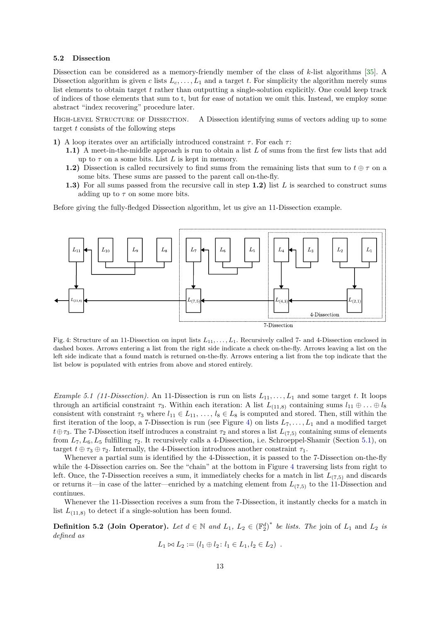#### <span id="page-12-0"></span>**5.2 Dissection**

Dissection can be considered as a memory-friendly member of the class of *k*-list algorithms [\[35\]](#page-30-14). A Dissection algorithm is given *c* lists  $L_c, \ldots, L_1$  and a target *t*. For simplicity the algorithm merely sums list elements to obtain target *t* rather than outputting a single-solution explicitly. One could keep track of indices of those elements that sum to t, but for ease of notation we omit this. Instead, we employ some abstract "index recovering" procedure later.

HIGH-LEVEL STRUCTURE OF DISSECTION. A Dissection identifying sums of vectors adding up to some target *t* consists of the following steps

- **1)** A loop iterates over an artificially introduced constraint  $\tau$ . For each  $\tau$ :
	- **1.1)** A meet-in-the-middle approach is run to obtain a list *L* of sums from the first few lists that add up to  $\tau$  on a some bits. List  $L$  is kept in memory.
	- **1.2)** Dissection is called recursively to find sums from the remaining lists that sum to  $t \oplus \tau$  on a some bits. These sums are passed to the parent call on-the-fly.
	- **1.3)** For all sums passed from the recursive call in step **1.2)** list *L* is searched to construct sums adding up to  $\tau$  on some more bits.

Before giving the fully-fledged Dissection algorithm, let us give an 11-Dissection example.

<span id="page-12-1"></span>

Fig. 4: Structure of an 11-Dissection on input lists *L*11*, . . . , L*1. Recursively called 7- and 4-Dissection enclosed in dashed boxes. Arrows entering a list from the right side indicate a check on-the-fly. Arrows leaving a list on the left side indicate that a found match is returned on-the-fly. Arrows entering a list from the top indicate that the list below is populated with entries from above and stored entirely.

*Example 5.1 (11-Dissection)*. An 11-Dissection is run on lists  $L_{11}, \ldots, L_1$  and some target t. It loops through an artificial constraint  $\tau_3$ . Within each iteration: A list  $L_{(11,8)}$  containing sums  $l_{11} \oplus \ldots \oplus l_8$ consistent with constraint  $\tau_3$  where  $l_{11} \in L_{11}, \ldots, l_8 \in L_8$  is computed and stored. Then, still within the first iteration of the loop, a 7-Dissection is run (see Figure [4\)](#page-12-1) on lists *L*7*, . . . , L*<sup>1</sup> and a modified target  $t \oplus \tau_3$ . The 7-Dissection itself introduces a constraint  $\tau_2$  and stores a list  $L_{(7,5)}$  containing sums of elements from *L*7*, L*6*, L*<sup>5</sup> fulfilling *τ*2. It recursively calls a 4-Dissection, i.e. Schroeppel-Shamir (Section [5.1\)](#page-11-0), on target  $t \oplus \tau_3 \oplus \tau_2$ . Internally, the 4-Dissection introduces another constraint  $\tau_1$ .

Whenever a partial sum is identified by the 4-Dissection, it is passed to the 7-Dissection on-the-fly while the [4](#page-12-1)-Dissection carries on. See the "chain" at the bottom in Figure 4 traversing lists from right to left. Once, the 7-Dissection receives a sum, it immediately checks for a match in list  $L_{(7,5)}$  and discards or returns it—in case of the latter—enriched by a matching element from  $L_{(7,5)}$  to the 11-Dissection and continues.

Whenever the 11-Dissection receives a sum from the 7-Dissection, it instantly checks for a match in list  $L_{(11,8)}$  to detect if a single-solution has been found.

**Definition 5.2 (Join Operator).** Let  $d \in \mathbb{N}$  and  $L_1$ ,  $L_2 \in (\mathbb{F}_2^d)^*$  be lists. The join of  $L_1$  and  $L_2$  is *defined as*

$$
L_1 \bowtie L_2 := (l_1 \oplus l_2 : l_1 \in L_1, l_2 \in L_2) \ .
$$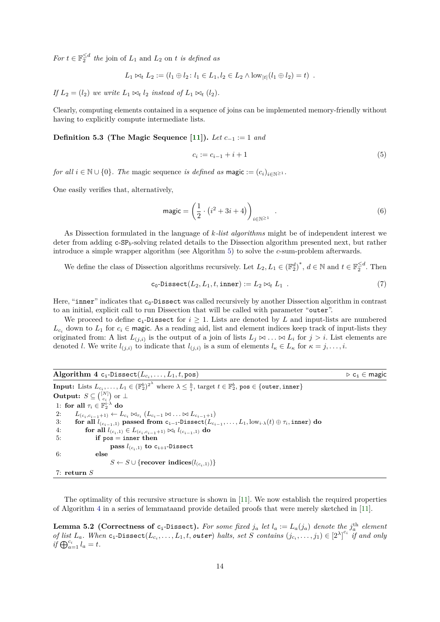*For*  $t \in \mathbb{F}_2^{\le d}$  *the* join of  $L_1$  and  $L_2$  on *t is defined as* 

$$
L_1 \bowtie_t L_2 := (l_1 \oplus l_2 : l_1 \in L_1, l_2 \in L_2 \wedge \text{low}_{|t|}(l_1 \oplus l_2) = t) .
$$

*If*  $L_2 = (l_2)$  *we write*  $L_1 \bowtie_l l_2$  *instead of*  $L_1 \bowtie_l (l_2)$ *.* 

Clearly, computing elements contained in a sequence of joins can be implemented memory-friendly without having to explicitly compute intermediate lists.

**Definition 5.3 (The Magic Sequence [\[11\]](#page-29-7)**). *Let*  $c_{-1} := 1$  *and* 

<span id="page-13-3"></span>
$$
c_i := c_{i-1} + i + 1 \tag{5}
$$

*for all*  $i \in \mathbb{N} \cup \{0\}$ *. The magic sequence is defined as magic :=*  $(c_i)_{i \in \mathbb{N} \geq 1}$ *<i>.* 

One easily verifies that, alternatively,

<span id="page-13-4"></span>
$$
\text{magic} = \left(\frac{1}{2} \cdot \left(i^2 + 3i + 4\right)\right)_{i \in \mathbb{N}^{\ge 1}} \tag{6}
$$

As Dissection formulated in the language of *k-list algorithms* might be of independent interest we deter from adding c-SP*b*-solving related details to the Dissection algorithm presented next, but rather introduce a simple wrapper algorithm (see Algorithm [5\)](#page-14-0) to solve the *c*-sum-problem afterwards.

We define the class of Dissection algorithms recursively. Let  $L_2, L_1 \in (\mathbb{F}_2^d)^*$ ,  $d \in \mathbb{N}$  and  $t \in \mathbb{F}_2^{\leq d}$ . Then

<span id="page-13-1"></span>
$$
c_0\text{-Dissect}(L_2, L_1, t, \text{inner}) := L_2 \bowtie_t L_1 . \tag{7}
$$

Here, "inner" indicates that  $c_0$ -Dissect was called recursively by another Dissection algorithm in contrast to an initial, explicit call to run Dissection that will be called with parameter "outer".

We proceed to define  $c_i$ -Dissect for  $i \geq 1$ . Lists are denoted by L and input-lists are numbered  $L_c$  down to  $L_1$  for  $c_i \in \text{magic}$ . As a reading aid, list and element indices keep track of input-lists they originated from: A list  $L_{(j,i)}$  is the output of a join of lists  $L_j \bowtie \ldots \bowtie L_i$  for  $j > i$ . List elements are denoted *l*. We write  $l_{(j,i)}$  to indicate that  $l_{(j,i)}$  is a sum of elements  $l_{\kappa} \in L_{\kappa}$  for  $\kappa = j, \ldots, i$ .

<span id="page-13-0"></span>

| Algorithm 4 $c_i$ -Dissect $(L_{c_i}, \ldots, L_1, t, \text{pos})$                                                                                                        | $\triangleright$ c <sub>i</sub> $\in$ magic |
|---------------------------------------------------------------------------------------------------------------------------------------------------------------------------|---------------------------------------------|
| <b>Input:</b> Lists $L_{c_i}, \ldots, L_1 \in (\mathbb{F}_2^b)^{2^{\lambda}}$ where $\lambda \leq \frac{b}{i}$ , target $t \in \mathbb{F}_2^b$ , pos $\in$ {outer, inner} |                                             |
| <b>Output:</b> $S \subseteq \binom{[N]}{G}$ or $\perp$                                                                                                                    |                                             |
| 1: for all $\tau_i \in \mathbb{F}_2^{i \cdot \lambda}$ do                                                                                                                 |                                             |
| $L_{(c_i, c_{i-1}+1)} \leftarrow L_{c_i} \bowtie_{\tau_i} (L_{c_i-1} \bowtie \ldots \bowtie L_{c_{i-1}+1})$<br>2:                                                         |                                             |
| for all $l_{(c_{i-1},1)}$ passed from $c_{i-1}$ -Dissect $(L_{c_{i-1}},\ldots,L_1,\text{low}_{i\cdot\lambda}(t)\oplus\tau_i,\text{inner})$ do<br>3:                       |                                             |
| 4:<br>for all $l_{(c_i,1)} \in L_{(c_i,c_{i-1}+1)} \bowtie_l l_{(c_{i-1},1)}$ do                                                                                          |                                             |
| if $pos = inner then$<br>5:                                                                                                                                               |                                             |
| pass $l_{(c_i,1)}$ to $c_{i+1}$ -Dissect                                                                                                                                  |                                             |
| 6:<br>else                                                                                                                                                                |                                             |
| $S \leftarrow S \cup \{ \text{recover indices}(l_{(c_i,1)}) \}$                                                                                                           |                                             |
| 7: return $S$                                                                                                                                                             |                                             |

The optimality of this recursive structure is shown in [\[11\]](#page-29-7). We now establish the required properties of Algorithm [4](#page-13-0) in a series of lemmataand provide detailed proofs that were merely sketched in [\[11\]](#page-29-7).

<span id="page-13-2"></span>**Lemma 5.2** (Correctness of c<sub>i</sub>-Dissect). For some fixed  $j_a$  let  $l_a := L_a(j_a)$  denote the  $j_a^{\text{th}}$  element of list  $L_a$ . When  $c_i$ -Dissect $(L_{c_i},..., L_1, t, \text{outer})$  halts, set S contains  $(j_{c_i},..., j_1) \in [2^{\lambda}]^{c_i}$  if and only  $if \bigoplus_{a=1}^{c_i} l_a = t.$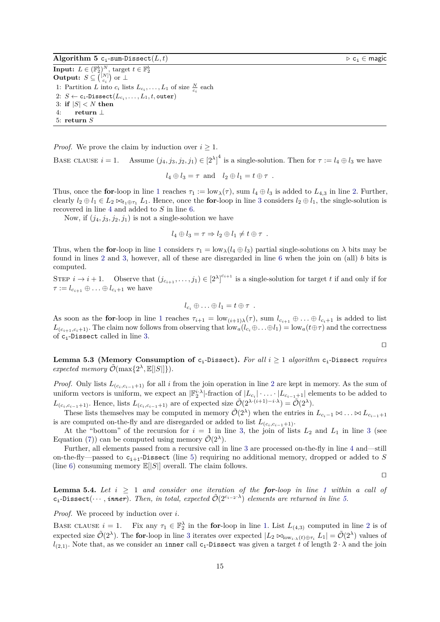<span id="page-14-0"></span>**Algorithm 5** c<sub>i</sub>-sum-Dissect $(L, t)$  *D*  $\infty$  c<sub>i</sub> ∈ magic

**Input:**  $L \in (\mathbb{F}_2^b)^N$ , target  $t \in \mathbb{F}_2^b$ <br> **Output:**  $S \subseteq \binom{[N]}{c_i}$  or  $\perp$ 1: Partition *L* into  $c_i$  lists  $L_{c_i}, \ldots, L_1$  of size  $\frac{N}{c_i}$  each  $2\colon\thinspace S \leftarrow \textsf{c}_\texttt{i}\textsf{-Dissect}(L_{c_\texttt{i}},\text{\dots},L_1,t,\texttt{outer})$ 3: if  $|S| < N$  then 4: **return** ⊥ 5: **return** *S*

*Proof.* We prove the claim by induction over  $i \geq 1$ .

BASE CLAUSE  $i = 1$ . Assume  $(j_4, j_3, j_2, j_1) \in [2^{\lambda}]^4$  is a single-solution. Then for  $\tau := l_4 \oplus l_3$  we have

$$
l_4 \oplus l_3 = \tau
$$
 and  $l_2 \oplus l_1 = t \oplus \tau$ .

Thus, once the **for**-loop in line [1](#page-13-1) reaches  $\tau_1 := \text{low}_{\lambda}(\tau)$ , sum  $l_4 \oplus l_3$  is added to  $L_{4,3}$  in line [2.](#page-13-1) Further, clearly  $l_2 \oplus l_1 \in L_2 \bowtie_{t_1 \oplus \tau_1} L_1$ . Hence, once the **for**-loop in line [3](#page-13-1) considers  $l_2 \oplus l_1$ , the single-solution is recovered in line [4](#page-13-1) and added to *S* in line [6.](#page-13-1)

Now, if  $(j_4, j_3, j_2, j_1)$  is not a single-solution we have

$$
l_4 \oplus l_3 = \tau \Rightarrow l_2 \oplus l_1 \neq t \oplus \tau .
$$

Thus, when the **for**-loop in line [1](#page-13-1) considers  $\tau_1 = \text{low}_{\lambda} (l_4 \oplus l_3)$  partial single-solutions on  $\lambda$  bits may be found in lines [2](#page-13-1) and [3,](#page-13-1) however, all of these are disregarded in line [6](#page-13-1) when the join on (all) *b* bits is computed.

STEP  $i \to i+1$ . Observe that  $(j_{c_{i+1}}, \ldots, j_1) \in [2^{\lambda}]^{c_{i+1}}$  is a single-solution for target *t* if and only if for  $\tau := l_{c_{i+1}} \oplus \ldots \oplus l_{c_i+1}$  we have

$$
l_{c_i}\oplus \ldots \oplus l_1=t\oplus \tau .
$$

As soon as the **for**-loop in line [1](#page-13-1) reaches  $\tau_{i+1} = \text{low}_{(i+1)\lambda}(\tau)$ , sum  $l_{c_{i+1}} \oplus ... \oplus l_{c_i+1}$  is added to list  $L_{(c_{i+1},c_i+1)}$ . The claim now follows from observing that  $\overline{\text{low}_a}(l_{c_i}\oplus \ldots \oplus l_1) = \overline{\text{low}_a(t\oplus \tau)}$  and the correctness of ci-Dissect called in line [3.](#page-13-1)

 $\Box$ 

<span id="page-14-2"></span>**Lemma 5.3 (Memory Consumption of**  $c_i$ -Dissect). For all  $i > 1$  algorithm  $c_i$ -Dissect *requires*  $expected \ memory \ \tilde{\mathcal{O}}(\max\{2^{\lambda}, \mathbb{E}[|S|]\}).$ 

*Proof.* Only lists  $L_{(c_i,c_{i-1}+1)}$  for all *i* from the join operation in line [2](#page-13-1) are kept in memory. As the sum of uniform vectors is uniform, we expect an  $|\mathbb{F}_2^{i \cdot \lambda}|$ -fraction of  $|L_{c_i}| \cdot \ldots \cdot |L_{c_{i-1}+1}|$  elements to be added to *L*<sub>(*c*<sub>*i*</sub>,*c*<sub>*i*</sub>−1+1</sub>). Hence, lists *L*<sub>(*c*<sub>*i*</sub>,*c*<sub>*i*</sub>−1+1)</sub> are of expected size  $\tilde{\mathcal{O}}(2^{\lambda \cdot (i+1)-i \cdot \lambda}) = \tilde{\mathcal{O}}(2^{\lambda})$ .

These lists themselves may be computed in memory  $\tilde{\mathcal{O}}(2^{\lambda})$  when the entries in  $L_{c_i-1} \bowtie \ldots \bowtie L_{c_{i-1}+1}$ is are computed on-the-fly and are disregarded or added to list  $L_{(c_i, c_{i-1}+1)}$ .

At the "bottom" of the recursion for  $i = 1$  in line [3,](#page-13-1) the join of lists  $L_2$  and  $L_1$  in line [3](#page-13-1) (see Equation [\(7\)](#page-13-1)) can be computed using memory  $\tilde{\mathcal{O}}(2^{\lambda})$ .

Further, all elements passed from a recursive call in line [3](#page-13-1) are processed on-the-fly in line [4](#page-13-1) and—still on-the-fly—passed to  $c_{i+1}$ -Dissect (line [5\)](#page-13-1) requiring no additional memory, dropped or added to *S* (line [6\)](#page-13-1) consuming memory  $\mathbb{E}[|S|]$  overall. The claim follows.

 $\Box$ 

<span id="page-14-1"></span>**Lemma 5.4.** Let  $i \geq 1$  $i \geq 1$  and consider one iteration of the **for**-loop in line 1 within a call of  $c_i$ -Dissect $(\cdots,$  *inner* $)$ . Then, in total, expected  $\tilde{\mathcal{O}}(2^{c_i-2\cdot\lambda})$  elements are returned in line [5.](#page-13-1)

*Proof.* We proceed by induction over *i*.

BASE CLAUSE  $i = 1$ . Fix any  $\tau_1 \in \mathbb{F}_2^{\lambda}$  $\tau_1 \in \mathbb{F}_2^{\lambda}$  $\tau_1 \in \mathbb{F}_2^{\lambda}$  in the **for**-loop in line [1.](#page-13-1) List  $L_{(4,3)}$  computed in line 2 is of expected size  $\tilde{\mathcal{O}}(2^{\lambda})$ . The **for**-loop in line [3](#page-13-1) iterates over expected  $|L_2 \Join_{\text{low}_{i\cdot}\lambda}(t)\oplus \tau_i|L_1| = \tilde{\mathcal{O}}(2^{\lambda})$  values of  $l_{(2,1)}$ . Note that, as we consider an inner call c<sub>1</sub>-Dissect was given a target *t* of length  $2 \cdot \lambda$  and the join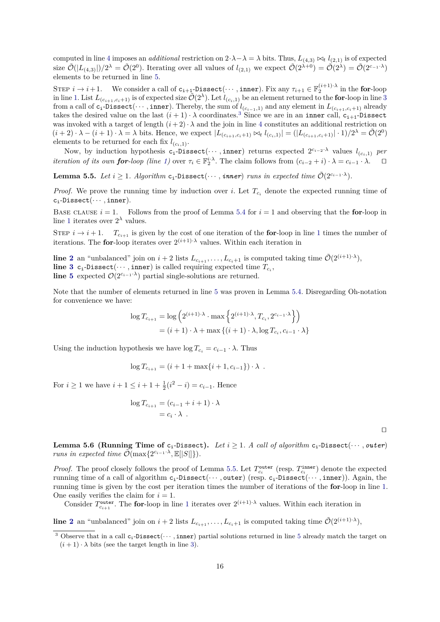computed in line [4](#page-13-1) imposes an *additional* restriction on  $2 \cdot \lambda - \lambda = \lambda$  bits. Thus,  $L_{(4,3)} \bowtie_t l_{(2,1)}$  is of expected size  $\tilde{\mathcal{O}}(|L_{(4,3)}|)/2^{\lambda} = \tilde{\mathcal{O}}(2^0)$ . Iterating over all values of  $l_{(2,1)}$  we expect  $\tilde{\mathcal{O}}(2^{\lambda+0}) = \tilde{\mathcal{O}}(2^{\lambda}) = \tilde{\mathcal{O}}(2^{c-1-\lambda})$ elements to be returned in line [5.](#page-13-1)

STEP  $i \to i+1$ . We consider a call of  $c_{i+1}$ -Dissect $(\cdots, \text{inner})$ . Fix any  $\tau_{i+1} \in \mathbb{F}_2^{(i+1)\cdot \lambda}$  in the **for**-loop in line [1.](#page-13-1) List  $L_{(c_{i+1},c_i+1)}$  is of expected size  $\tilde{\mathcal{O}}(2^{\lambda})$ . Let  $l_{(c_i,1)}$  be an element returned to the **for**-loop in line [3](#page-13-1) from a call of  $c_i$ -Dissect(···, inner). Thereby, the sum of  $l_{(c_{i-1},1)}$  and any element in  $L_{(c_{i+1},c_i+1)}$  already takes the desired value on the last  $(i + 1) \cdot \lambda$  coordinates.<sup>[3](#page-15-0)</sup> Since we are in an inner call,  $c_{i+1}$ -Dissect was invoked with a target of length  $(i+2) \cdot \lambda$  and the join in line [4](#page-13-1) constitutes an additional restriction on  $(i+2)\cdot \lambda - (i+1)\cdot \lambda = \lambda$  bits. Hence, we expect  $|L_{(c_{i+1},c_{i+1})} \bowtie_t l_{(c_{i},1)}| = (|L_{(c_{i+1},c_{i+1})}|\cdot 1)/2^{\lambda} = \tilde{\mathcal{O}}(2^0)$ elements to be returned for each fix  $l_{(c_i,1)}$ .

Now, by induction hypothesis  $c_i$ -Dissect $(\cdots, inner)$  returns expected  $2^{c_i-2}$ <sup>*λ*</sup> values  $l_{(c_i,1)}$  per *iteration of its own for-loop (line [1\)](#page-13-1)* over  $\tau_i \in \mathbb{F}_2^{i \cdot \lambda}$ . The claim follows from  $(c_{i-2} + i) \cdot \lambda = c_{i-1} \cdot \lambda$ .  $\Box$ 

<span id="page-15-1"></span>**Lemma 5.5.** *Let*  $i \geq 1$ *. Algorithm*  $c_i$ -Dissect $(\cdots,$  *inner*) *runs in expected time*  $\tilde{\mathcal{O}}(2^{c_{i-1} \cdot \lambda})$ *.* 

*Proof.* We prove the running time by induction over *i*. Let  $T_{c_i}$  denote the expected running time of ci-Dissect(· · · *,* inner).

BASE CLAUSE  $i = 1$ . Follows from the proof of Lemma [5.4](#page-14-1) for  $i = 1$  and observing that the **for**-loop in line [1](#page-13-1) iterates over  $2^{\lambda}$  values.

STEP  $i \to i+1$  $i \to i+1$ .  $T_{c_{i+1}}$  is given by the cost of one iteration of the **for**-loop in line 1 times the number of iterations. The **for**-loop iterates over  $2^{(i+1)\cdot\lambda}$  values. Within each iteration in

**line [2](#page-13-1)** an "unbalanced" join on  $i + 2$  lists  $L_{c_{i+1}}, \ldots, L_{c_i+1}$  is computed taking time  $\tilde{\mathcal{O}}(2^{(i+1)\cdot\lambda}),$ **line [3](#page-13-1)**  $c_i$ -Dissect $(\cdots, \text{inner})$  is called requiring expected time  $T_{c_i}$ , **line [5](#page-13-1)** expected  $\mathcal{O}(2^{c_i-1} \lambda)$  partial single-solutions are returned.

Note that the number of elements returned in line [5](#page-13-1) was proven in Lemma [5.4.](#page-14-1) Disregarding Oh-notation for convenience we have:

$$
\log T_{c_{i+1}} = \log \left( 2^{(i+1)\cdot \lambda} \cdot \max \left\{ 2^{(i+1)\cdot \lambda}, T_{c_i}, 2^{c_{i-1}\cdot \lambda} \right\} \right)
$$
  
=  $(i+1)\cdot \lambda + \max \left\{ (i+1)\cdot \lambda, \log T_{c_i}, c_{i-1}\cdot \lambda \right\}$ 

Using the induction hypothesis we have  $\log T_{c_i} = c_{i-1} \cdot \lambda$ . Thus

$$
\log T_{c_{i+1}} = (i + 1 + \max\{i + 1, c_{i-1}\}) \cdot \lambda .
$$

For  $i \geq 1$  we have  $i + 1 \leq i + 1 + \frac{1}{2}(i^2 - i) = c_{i-1}$ . Hence

$$
\log T_{c_{i+1}} = (c_{i-1} + i + 1) \cdot \lambda
$$
  
=  $c_i \cdot \lambda$ .

 $\Box$ 

<span id="page-15-2"></span>**Lemma 5.6 (Running Time of** c<sub>i</sub>-Dissect). Let  $i \geq 1$ . A call of algorithm c<sub>i</sub>-Dissect( $\cdots$ , *outer*) *runs in expected time*  $\widetilde{\mathcal{O}}(\max\{2^{c_i-1} \cdot \lambda, \mathbb{E}[|S|]\}).$ 

*Proof.* The proof closely follows the proof of Lemma [5.5.](#page-15-1) Let  $T_{c_i}^{\text{outer}}$  (resp.  $T_{c_i}^{\text{inner}}$ ) denote the expected running time of a call of algorithm  $c_i$ -Dissect( $\cdots$ , outer) (resp.  $c_i$ -Dissect( $\cdots$ , inner)). Again, the running time is given by the cost per iteration times the number of iterations of the **for**-loop in line [1.](#page-13-1) One easily verifies the claim for  $i = 1$ .

Consider  $T_{c_{i+1}}^{\text{outer}}$  $T_{c_{i+1}}^{\text{outer}}$  $T_{c_{i+1}}^{\text{outer}}$ . The **for**-loop in line 1 iterates over  $2^{(i+1)\cdot\lambda}$  values. Within each iteration in

**line [2](#page-13-1)** an "unbalanced" join on  $i + 2$  lists  $L_{c_{i+1}}, \ldots, L_{c_i+1}$  is computed taking time  $\tilde{\mathcal{O}}(2^{(i+1)\cdot\lambda}),$ 

<span id="page-15-0"></span><sup>&</sup>lt;sup>3</sup> Observe that in a call  $c_i$ -Dissect( $\cdots$ , inner) partial solutions returned in line [5](#page-13-1) already match the target on  $(i+1) \cdot \lambda$  bits (see the target length in line [3\)](#page-13-1).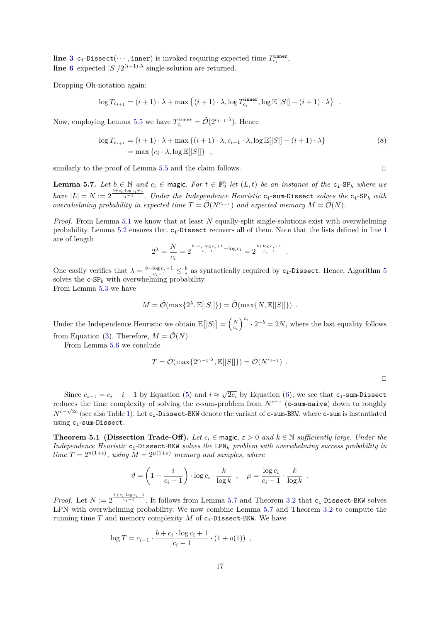**line [3](#page-13-1)**  $c_i$ -Dissect( $\cdots$ , inner) is invoked requiring expected time  $T_{c_i}^{\text{inner}}$ , **line** [6](#page-13-1) expected  $|S|/2^{(i+1)\cdot\lambda}$  single-solution are returned.

Dropping Oh-notation again:

$$
\log T_{c_{i+1}} = (i+1) \cdot \lambda + \max \left\{ (i+1) \cdot \lambda, \log T^{\texttt{inner}}_{c_i}, \log \mathbb{E}[|S|] - (i+1) \cdot \lambda \right\} \enspace .
$$

Now, employing Lemma [5.5](#page-15-1) we have  $T_{c_i}^{\text{inner}} = \tilde{\mathcal{O}}(2^{c_{i-1} \cdot \lambda})$ . Hence

$$
\log T_{c_{i+1}} = (i+1) \cdot \lambda + \max \{ (i+1) \cdot \lambda, c_{i-1} \cdot \lambda, \log \mathbb{E}[|S|] - (i+1) \cdot \lambda \}
$$
  
= max { $c_i \cdot \lambda$ , log  $\mathbb{E}[|S|]$  }, (8)

similarly to the proof of Lemma [5.5](#page-15-1) and the claim follows.  $\Box$ 

<span id="page-16-0"></span>**Lemma 5.7.** Let  $b \in \mathbb{N}$  and  $c_i \in \text{magic}$ . For  $t \in \mathbb{F}_2^b$  let  $(L, t)$  be an instance of the  $c_i$ -SP<sub>b</sub> where we  $have |L| = N := 2^{\frac{b+c_i \cdot \log c_i+1}{c_i-1}}$ . Under the Independence Heuristic c<sub>i</sub>-sum-Dissect *solves the* c<sub>i</sub>-SP<sub>*b*</sub> *with overwhelming probability in expected time*  $T = \tilde{\mathcal{O}}(N^{c_{i-1}})$  *and expected memory*  $M = \tilde{\mathcal{O}}(N)$ *.* 

*Proof.* From Lemma [5.1](#page-10-2) we know that at least *N* equally-split single-solutions exist with overwhelming probability. Lemma [5.2](#page-13-2) ensures that ci-Dissect recovers all of them. Note that the lists defined in line [1](#page-13-0) are of length

$$
2^{\lambda} = \frac{N}{c_i} = 2^{\frac{b + c_i \cdot \log c_i + 1}{c_i - 1} - \log c_i} = 2^{\frac{b + \log c_i + 1}{c_i - 1}}
$$

One easily verifies that  $\lambda = \frac{b + \log c_i + 1}{c_i - 1} \leq \frac{b}{i}$  as syntactically required by c<sub>i</sub>-Dissect. Hence, Algorithm [5](#page-14-0) solves the c-SP*<sup>b</sup>* with overwhelming probability.

From Lemma [5.3](#page-14-2) we have

$$
M = \tilde{\mathcal{O}}(\max\{2^{\lambda}, \mathbb{E}[|S|]\}) = \tilde{\mathcal{O}}(\max\{N, \mathbb{E}[|S|]\}) .
$$

Under the Independence Heuristic we obtain  $\mathbb{E}[|S|] = \left(\frac{N}{c_i}\right)^{c_i} \cdot 2^{-b} = 2N$ , where the last equality follows from Equation [\(3\)](#page-6-2). Therefore,  $M = \tilde{\mathcal{O}}(N)$ .

From Lemma [5.6](#page-15-2) we conclude

$$
T = \tilde{\mathcal{O}}(\max\{2^{c_{i-1}\cdot\lambda}, \mathbb{E}[|S|]\}) = \tilde{\mathcal{O}}(N^{c_{i-1}}) .
$$

*.*

Since  $c_{i-1} = c_i - i - 1$  by Equation [\(5\)](#page-13-3) and  $i \approx \sqrt{2c_i}$  by Equation [\(6\)](#page-13-4), we see that  $c_i$ -sum-Dissect reduces the time complexity of solving the *c*-sum-problem from  $N^{c-1}$  (c-sum-naive) down to roughly *N<sup>c−√2c</sup>* (see also Table [1\)](#page-1-0). Let c<sub>i</sub>-Dissect-BKW denote the variant of c-sum-BKW, where c-sum is instantiated using  $c_i$ -sum-Dissect.

**Theorem 5.1 (Dissection Trade-Off).** *Let*  $c_i \in \text{magic}, \varepsilon > 0$  and  $k \in \mathbb{N}$  sufficiently large. Under the *Independence Heuristic* ci-Dissect*-*BKW *solves the* LPN*<sup>k</sup> problem with overwhelming success probability in time*  $T = 2^{\vartheta(1+\varepsilon)}$ , using  $M = 2^{\mu(1+\varepsilon)}$  *memory and samples, where* 

<span id="page-16-1"></span>
$$
\vartheta = \left(1 - \frac{i}{c_i - 1}\right) \cdot \log c_i \cdot \frac{k}{\log k} , \quad \mu = \frac{\log c_i}{c_i - 1} \cdot \frac{k}{\log k} .
$$

*Proof.* Let  $N := 2^{\frac{b+c_i\cdot \log c_i+1}{c_i-1}}$ . It follows from Lemma [5.7](#page-16-0) and Theorem [3.2](#page-6-1) that c<sub>i</sub>-Dissect-BKW solves LPN with overwhelming probability. We now combine Lemma [5.7](#page-16-0) and Theorem [3.2](#page-6-1) to compute the running time *T* and memory complexity *M* of  $c_i$ -Dissect-BKW. We have

$$
\log T = c_{i-1} \cdot \frac{b + c_i \cdot \log c_i + 1}{c_i - 1} \cdot (1 + o(1)),
$$

<span id="page-16-2"></span>

 $\Box$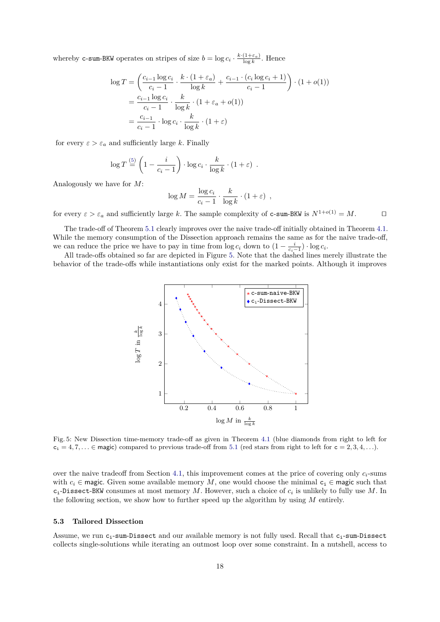whereby **c-sum-BKW** operates on stripes of size  $b = \log c_i \cdot \frac{k \cdot (1 + \varepsilon_a)}{\log k}$ . Hence

$$
\log T = \left(\frac{c_{i-1}\log c_i}{c_i - 1} \cdot \frac{k \cdot (1 + \varepsilon_a)}{\log k} + \frac{c_{i-1} \cdot (c_i \log c_i + 1)}{c_i - 1}\right) \cdot (1 + o(1))
$$

$$
= \frac{c_{i-1}\log c_i}{c_i - 1} \cdot \frac{k}{\log k} \cdot (1 + \varepsilon_a + o(1))
$$

$$
= \frac{c_{i-1}}{c_i - 1} \cdot \log c_i \cdot \frac{k}{\log k} \cdot (1 + \varepsilon)
$$

for every  $\varepsilon > \varepsilon_a$  and sufficiently large *k*. Finally

$$
\log T \stackrel{\text{(5)}}{=} \left(1 - \frac{i}{c_i - 1}\right) \cdot \log c_i \cdot \frac{k}{\log k} \cdot (1 + \varepsilon) \enspace .
$$

Analogously we have for *M*:

$$
\log M = \frac{\log c_i}{c_i - 1} \cdot \frac{k}{\log k} \cdot (1 + \varepsilon) ,
$$

for every  $\varepsilon > \varepsilon_a$  and sufficiently large *k*. The sample complexity of **c**-sum-BKW is  $N^{1+o(1)} = M$ .  $\Box$ 

The trade-off of Theorem [5.1](#page-16-1) clearly improves over the naive trade-off initially obtained in Theorem [4.1.](#page-8-1) While the memory consumption of the Dissection approach remains the same as for the naive trade-off, we can reduce the price we have to pay in time from  $\log c_i$  down to  $\left(1 - \frac{i}{c_i - 1}\right) \cdot \log c_i$ .

<span id="page-17-1"></span>All trade-offs obtained so far are depicted in Figure [5.](#page-17-1) Note that the dashed lines merely illustrate the behavior of the trade-offs while instantiations only exist for the marked points. Although it improves



Fig. 5: New Dissection time-memory trade-off as given in Theorem [4.1](#page-8-1) (blue diamonds from right to left for  $c_i = 4, 7, \ldots \in \text{magic}$  compared to previous trade-off from [5.1](#page-16-1) (red stars from right to left for  $c = 2, 3, 4, \ldots$ ).

over the naive tradeoff from Section [4.1,](#page-7-0) this improvement comes at the price of covering only  $c_i$ -sums with  $c_i \in \text{magic}$ . Given some available memory M, one would choose the minimal  $c_i \in \text{magic}$  such that  $c_i$ -Dissect-BKW consumes at most memory *M*. However, such a choice of  $c_i$  is unlikely to fully use *M*. In the following section, we show how to further speed up the algorithm by using *M* entirely.

## <span id="page-17-0"></span>**5.3 Tailored Dissection**

Assume, we run  $c_i$ -sum-Dissect and our available memory is not fully used. Recall that  $c_i$ -sum-Dissect collects single-solutions while iterating an outmost loop over some constraint. In a nutshell, access to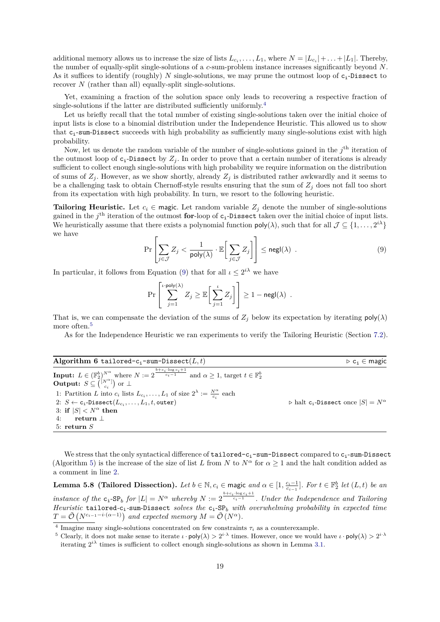additional memory allows us to increase the size of lists  $L_{c_i}, \ldots, L_1$ , where  $N = |L_{c_i}| + \ldots + |L_1|$ . Thereby, the number of equally-split single-solutions of a *c*-sum-problem instance increases significantly beyond *N*. As it suffices to identify (roughly)  $N$  single-solutions, we may prune the outmost loop of  $c_i$ -Dissect to recover *N* (rather than all) equally-split single-solutions.

Yet, examining a fraction of the solution space only leads to recovering a respective fraction of single-solutions if the latter are distributed sufficiently uniformly.[4](#page-18-0)

Let us briefly recall that the total number of existing single-solutions taken over the initial choice of input lists is close to a binomial distribution under the Independence Heuristic. This allowed us to show that  $c_i$ -sum-Dissect succeeds with high probability as sufficiently many single-solutions exist with high probability.

Now, let us denote the random variable of the number of single-solutions gained in the  $j<sup>th</sup>$  iteration of the outmost loop of  $c_i$ -Dissect by  $Z_i$ . In order to prove that a certain number of iterations is already sufficient to collect enough single-solutions with high probability we require information on the distribution of sums of  $Z_j$ . However, as we show shortly, already  $Z_j$  is distributed rather awkwardly and it seems to be a challenging task to obtain Chernoff-style results ensuring that the sum of  $Z_j$  does not fall too short from its expectation with high probability. In turn, we resort to the following heuristic.

**Tailoring Heuristic.** Let  $c_i \in \text{magic}$ . Let random variable  $Z_i$  denote the number of single-solutions gained in the *j*<sup>th</sup> iteration of the outmost **for**-loop of **c**<sub>i</sub>-Dissect taken over the initial choice of input lists. We heuristically assume that there exists a polynomial function  $\mathsf{poly}(\lambda)$ , such that for all  $\mathcal{J} \subseteq \{1, \ldots, 2^{i\lambda}\}\$ we have

<span id="page-18-1"></span>
$$
\Pr\left[\sum_{j\in\mathcal{J}}Z_j < \frac{1}{\text{poly}(\lambda)} \cdot \mathbb{E}\bigg[\sum_{j\in\mathcal{J}}Z_j\bigg]\right] \leq \text{negl}(\lambda) \quad . \tag{9}
$$

In particular, it follows from Equation [\(9\)](#page-18-1) that for all  $\iota \leq 2^{i\lambda}$  we have

$$
\Pr\left[\sum_{j=1}^{\iota \cdot \mathsf{poly}(\lambda)} Z_j \geq \mathbb{E}\bigg[\sum_{j=1}^{\iota} Z_j\bigg]\right] \geq 1 - \mathsf{negl}(\lambda) .
$$

That is, we can compensate the deviation of the sums of  $Z_j$  below its expectation by iterating  $poly(\lambda)$ more often.<sup>[5](#page-18-2)</sup>

As for the Independence Heuristic we ran experiments to verify the Tailoring Heuristic (Section [7.2\)](#page-25-1).

<span id="page-18-3"></span>

| Algorithm 6 tailored-c <sub>i</sub> -sum-Dissect( $L, t$ )                                                                                                                                                                                         | $\triangleright$ c <sub>i</sub> $\in$ magic                           |
|----------------------------------------------------------------------------------------------------------------------------------------------------------------------------------------------------------------------------------------------------|-----------------------------------------------------------------------|
| <b>Input:</b> $L \in (\mathbb{F}_2^b)^{N^{\alpha}}$ where $N := 2^{\frac{b + \overline{c_i \cdot \log c_i + 1}}{c_i - 1}}$ and $\alpha \ge 1$ , target $t \in \mathbb{F}_2^b$<br><b>Output:</b> $S \subseteq \binom{[N^{\alpha}]}{c_i}$ or $\perp$ |                                                                       |
| 1: Partition L into $c_i$ lists $L_{c_i}, \ldots, L_1$ of size $2^{\lambda} := \frac{N^{\alpha}}{c_i}$ each                                                                                                                                        |                                                                       |
| 2: $S \leftarrow c_i$ -Dissect $(L_{c_i}, \ldots, L_1, t, \text{outer})$                                                                                                                                                                           | $\triangleright$ halt c <sub>i</sub> -Dissect once $ S  = N^{\alpha}$ |
| 3: if $ S  < N^{\alpha}$ then                                                                                                                                                                                                                      |                                                                       |
| return $\perp$<br>4:                                                                                                                                                                                                                               |                                                                       |
| 5: return $S$                                                                                                                                                                                                                                      |                                                                       |

We stress that the only syntactical difference of  $t$ ailored- $c_i$ -sum-Dissect compared to  $c_i$ -sum-Dissect (Algorithm [5\)](#page-14-0) is the increase of the size of list *L* from *N* to  $N^{\alpha}$  for  $\alpha \geq 1$  and the halt condition added as a comment in line [2.](#page-18-1)

<span id="page-18-4"></span>**Lemma 5.8 (Tailored Dissection).** Let  $b \in \mathbb{N}$ ,  $c_i \in \text{magic}$  and  $\alpha \in [1, \frac{c_i-1}{c_{i-1}}]$ . For  $t \in \mathbb{F}_2^b$  let  $(L, t)$  be an *instance of the*  $c_i$ -SP<sub>*b*</sub> *for*  $|L| = N^{\alpha}$  *whereby*  $N := 2^{\frac{b+c_i \log c_i + 1}{c_i-1}}$ *. Under the Independence and Tailoring Heuristic* tailored*-*ci*-*sum-Dissect *solves the* ci-SP*<sup>b</sup> with overwhelming probability in expected time*  $T = \tilde{\mathcal{O}}\left(N^{c_{i-1}-i\cdot(\alpha-1)}\right)$  and expected memory  $M = \tilde{\mathcal{O}}\left(N^{\alpha}\right)$ .

<span id="page-18-0"></span><sup>&</sup>lt;sup>4</sup> Imagine many single-solutions concentrated on few constraints  $\tau_i$  as a counterexample.

<span id="page-18-2"></span><sup>&</sup>lt;sup>5</sup> Clearly, it does not make sense to iterate  $\iota \cdot \text{poly}(\lambda) > 2^{i \cdot \lambda}$  times. However, once we would have  $\iota \cdot \text{poly}(\lambda) > 2^{i \cdot \lambda}$ iterating  $2^{i\lambda}$  times is sufficient to collect enough single-solutions as shown in Lemma [3.1.](#page-5-1)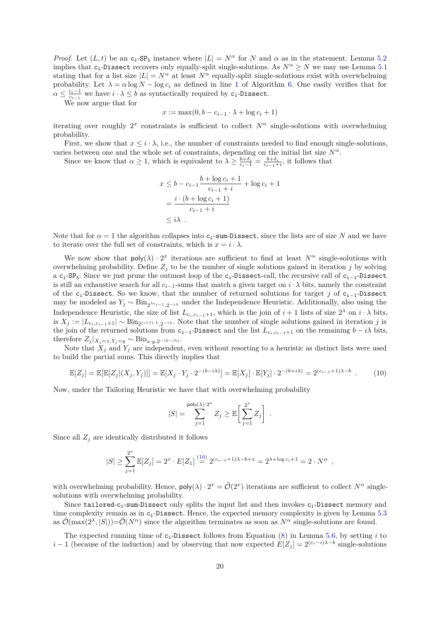*Proof.* Let  $(L, t)$  be an  $c_i$ -SP<sub>b</sub> instance where  $|L| = N^{\alpha}$  for *N* and  $\alpha$  as in the statement. Lemma [5.2](#page-13-2) implies that c<sub>i</sub>-Dissect recovers only equally-split single-solutions. As  $N^{\alpha} \ge N$  we may use Lemma [5.1](#page-10-2) stating that for a list size  $|L| = N^{\alpha}$  at least  $N^{\alpha}$  equally-split single-solutions exist with overwhelming probability. Let  $\lambda = \alpha \log N - \log c_i$  as defined in line [1](#page-18-1) of Algorithm [6.](#page-18-3) One easily verifies that for  $\alpha \leq \frac{c_i-1}{c_{i-1}}$  we have  $i \cdot \lambda \leq b$  as syntactically required by  $c_i$ -Dissect.

We now argue that for

$$
x := \max(0, b - c_{i-1} \cdot \lambda + \log c_i + 1)
$$

iterating over roughly  $2^x$  constraints is sufficient to collect  $N^\alpha$  single-solutions with overwhelming probability.

First, we show that  $x \leq i \cdot \lambda$ , i.e., the number of constraints needed to find enough single-solutions, varies between one and the whole set of constraints, depending on the initial list size  $N^{\alpha}$ .

Since we know that  $\alpha \geq 1$ , which is equivalent to  $\lambda \geq \frac{b+\delta_i}{c_i-1} = \frac{b+\delta_i}{c_{i-1}+i}$ , it follows that

$$
x \le b - c_{i-1} \frac{b + \log c_i + 1}{c_{i-1} + i} + \log c_i + 1
$$
  
= 
$$
\frac{i \cdot (b + \log c_i + 1)}{c_{i-1} + i}
$$
  
\$\le i\lambda\$ .

Note that for  $\alpha = 1$  the algorithm collapses into  $c_i$ -sum-Dissect, since the lists are of size *N* and we have to iterate over the full set of constraints, which is  $x = i \cdot \lambda$ .

We now show that  $poly(\lambda) \cdot 2^x$  iterations are sufficient to find at least  $N^{\alpha}$  single-solutions with overwhelming probability. Define  $Z_j$  to be the number of single solutions gained in iteration *j* by solving a c<sub>i</sub>-SP<sub>b</sub>. Since we just prune the outmost loop of the c<sub>i</sub>-Dissect-call, the recursive call of c<sub>i−1</sub>-Dissect is still an exhaustive search for all  $c_{i-1}$ -sums that match a given target on  $i \cdot \lambda$  bits, namely the constraint of the ci-Dissect. So we know, that the number of returned solutions for target *j* of ci−1-Dissect may be modeled as  $Y_j \sim Bin_{2^{\lambda c_{i-1}},2^{-i\lambda}}$  under the Independence Heuristic. Additionally, also using the Independence Heuristic, the size of list  $L_{c_i,c_{i-1}+1}$ , which is the join of  $i+1$  lists of size  $2^{\lambda}$  on  $i \cdot \lambda$  bits, is  $X_j := |L_{c_i, c_{i-1}+1}| ∼ \text{Bin}_{2^{(i+1)}⋅λ, 2^{-iλ}}$ . Note that the number of single solutions gained in iteration *j* is the join of the returned solutions from  $c_{i-1}$ -Dissect and the list  $L_{c_i,c_{i-1}+1}$  on the remaining  $b - i\lambda$  bits, therefore  $Z_j|_{X_j=x, Y_j=y} \sim \text{Bin}_{x \cdot y, 2^{-(b-i\lambda)}}$ .

Note that  $X_j$  and  $Y_j$  are independent, even without resorting to a heuristic as distinct lists were used to build the partial sums. This directly implies that

<span id="page-19-0"></span>
$$
\mathbb{E}[Z_j] = \mathbb{E}[\mathbb{E}[Z_j|(X_j,Y_j)]] = \mathbb{E}[X_j \cdot Y_j \cdot 2^{-(b-i\lambda)}] = \mathbb{E}[X_j] \cdot \mathbb{E}[Y_j] \cdot 2^{-(b+i\lambda)} = 2^{(c_{i-1}+1)\lambda - b} \tag{10}
$$

Now, under the Tailoring Heuristic we have that with overwhelming probability

$$
|S| = \sum_{j=1}^{\text{poly}(\lambda) \cdot 2^x} Z_j \geq \mathbb{E} \bigg[ \sum_{j=1}^{2^x} Z_j \bigg] .
$$

Since all  $Z_j$  are identically distributed it follows

$$
|S| \geq \sum_{j=1}^{2^x} \mathbb{E}[Z_j] = 2^x \cdot E[Z_1] \stackrel{(10)}{=} 2^{(c_{i-1}+1)\lambda - b + x} = 2^{\lambda + \log c_i + 1} = 2 \cdot N^{\alpha} ,
$$

with overwhelming probability. Hence,  $poly(\lambda) \cdot 2^x = \tilde{\mathcal{O}}(2^x)$  iterations are sufficient to collect  $N^{\alpha}$  singlesolutions with overwhelming probability.

Since tailored- $c_i$ -sum-Dissect only splits the input list and then invokes  $c_i$ -Dissect memory and time complexity remain as in c<sub>i</sub>-Dissect. Hence, the expected memory complexity is given by Lemma [5.3](#page-14-2) as  $\tilde{\mathcal{O}}(\max(2^{\lambda}, |S|)) = \tilde{\mathcal{O}}(N^{\alpha})$  since the algorithm terminates as soon as  $N^{\alpha}$  single-solutions are found.

The expected running time of c<sub>i</sub>-Dissect follows from Equation [\(8\)](#page-16-2) in Lemma [5.6,](#page-15-2) by setting *i* to *i* − 1 (because of the induction) and by observing that now expected  $E[Z_j] = 2^{(c_i - i)\lambda - b}$  single-solutions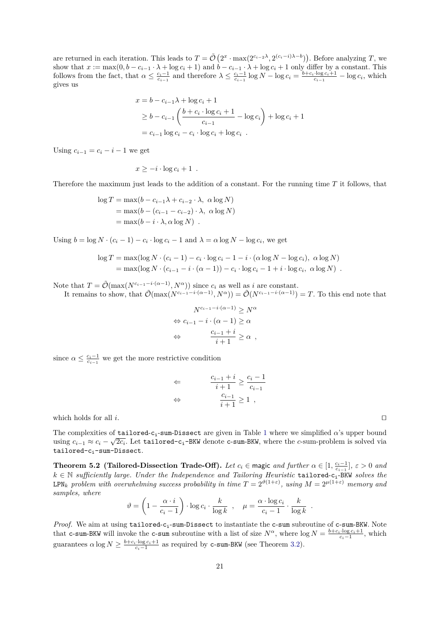are returned in each iteration. This leads to  $T = \tilde{\mathcal{O}}(2^x \cdot \max(2^{c_i-2\lambda}, 2^{(c_i-i)\lambda-b}))$ . Before analyzing *T*, we show that  $x := max(0, b - c_{i-1} \cdot \lambda + \log c_i + 1)$  and  $b - c_{i-1} \cdot \lambda + \log c_i + 1$  only differ by a constant. This follows from the fact, that  $\alpha \leq \frac{c_i-1}{c_{i-1}}$  and therefore  $\lambda \leq \frac{c_i-1}{c_{i-1}} \log N - \log c_i = \frac{b+c_i \cdot \log c_i+1}{c_{i-1}} - \log c_i$ , which gives us

$$
x = b - c_{i-1}\lambda + \log c_i + 1
$$
  
\n
$$
\ge b - c_{i-1}\left(\frac{b + c_i \cdot \log c_i + 1}{c_{i-1}} - \log c_i\right) + \log c_i + 1
$$
  
\n
$$
= c_{i-1} \log c_i - c_i \cdot \log c_i + \log c_i .
$$

Using  $c_{i-1} = c_i - i - 1$  we get

$$
x \geq -i \cdot \log c_i + 1 \enspace .
$$

Therefore the maximum just leads to the addition of a constant. For the running time *T* it follows, that

$$
\log T = \max(b - c_{i-1}\lambda + c_{i-2} \cdot \lambda, \ \alpha \log N)
$$
  
= 
$$
\max(b - (c_{i-1} - c_{i-2}) \cdot \lambda, \ \alpha \log N)
$$
  
= 
$$
\max(b - i \cdot \lambda, \alpha \log N)
$$
.

Using  $b = \log N \cdot (c_i - 1) - c_i \cdot \log c_i - 1$  and  $\lambda = \alpha \log N - \log c_i$ , we get

$$
\log T = \max(\log N \cdot (c_i - 1) - c_i \cdot \log c_i - 1 - i \cdot (\alpha \log N - \log c_i), \ \alpha \log N)
$$
  
= 
$$
\max(\log N \cdot (c_{i-1} - i \cdot (\alpha - 1)) - c_i \cdot \log c_i - 1 + i \cdot \log c_i, \ \alpha \log N)
$$
.

Note that  $T = \tilde{\mathcal{O}}(\max(N^{c_{i-1}-i\cdot(\alpha-1)}, N^{\alpha}))$  since  $c_i$  as well as *i* are constant. It remains to show, that  $\tilde{\mathcal{O}}(\max(N^{c_i-1-i\cdot(\alpha-1)}, N^{\alpha})) = \tilde{\mathcal{O}}(N^{c_i-1-i\cdot(\alpha-1)}) = T$ . To this end note that

$$
N^{c_{i-1}-i\cdot(\alpha-1)} \geq N^{\alpha}
$$
  
\n
$$
\Leftrightarrow c_{i-1} - i \cdot (\alpha - 1) \geq \alpha
$$
  
\n
$$
\Leftrightarrow \frac{c_{i-1} + i}{i+1} \geq \alpha ,
$$

since  $\alpha \leq \frac{c_i-1}{c_{i-1}}$  we get the more restrictive condition

$$
\Leftarrow \qquad \frac{c_{i-1}+i}{i+1}\geq \frac{c_i-1}{c_{i-1}}
$$

$$
\Leftrightarrow \qquad \frac{c_{i-1}}{i+1}\geq 1\ ,
$$

which holds for all  $i$ .

The complexities of **tailored-c<sub>i</sub>-sum-Dissect** are given in Table [1](#page-1-0) where we simplified  $\alpha$ 's upper bound using  $c_{i-1} \approx c_i - \sqrt{2c_i}$ . Let tailored-c<sub>i</sub>-BKW denote c-sum-BKW, where the *c*-sum-problem is solved via tailored-c<sub>i</sub>-sum-Dissect.

<span id="page-20-0"></span>**Theorem 5.2 (Tailored-Dissection Trade-Off).** *Let*  $c_i \in \text{magic}$  *and further*  $\alpha \in [1, \frac{c_i-1}{c_{i-1}}]$ ,  $\varepsilon > 0$  *and k* ∈ N *sufficiently large. Under the Independence and Tailoring Heuristic* tailored-ci-BKW *solves the*  $\text{LPN}_k$  *problem with overwhelming success probability in time*  $T = 2^{\vartheta(1+\varepsilon)}$ , using  $M = 2^{\mu(1+\varepsilon)}$  *memory and samples, where*

$$
\vartheta = \left(1 - \frac{\alpha \cdot i}{c_i - 1}\right) \cdot \log c_i \cdot \frac{k}{\log k} , \quad \mu = \frac{\alpha \cdot \log c_i}{c_i - 1} \cdot \frac{k}{\log k} .
$$

*Proof.* We aim at using tailored-c<sub>i</sub>-sum-Dissect to instantiate the c-sum subroutine of c-sum-BKW. Note that c-sum-BKW will invoke the c-sum subroutine with a list of size  $N^{\alpha}$ , where  $\log N = \frac{b+c_i\cdot \log c_i+1}{c_i-1}$ , which guarantees  $\alpha \log N \geq \frac{b + c_i \cdot \log c_i + 1}{c_i - 1}$  as required by **c-sum-BKW** (see Theorem [3.2\)](#page-6-1).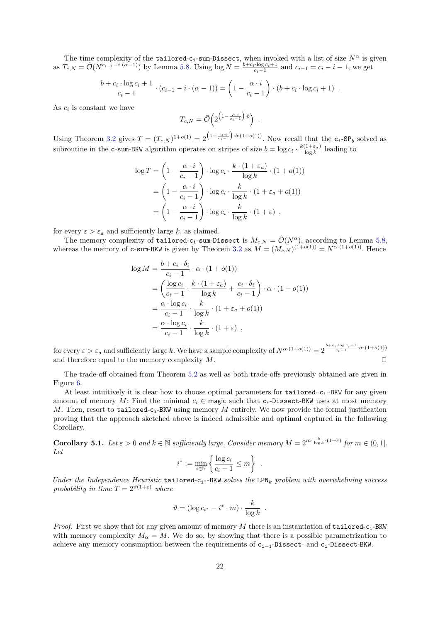The time complexity of the tailored-c<sub>i</sub>-sum-Dissect, when invoked with a list of size  $N^{\alpha}$  is given as  $T_{c,N} = \tilde{\mathcal{O}}(N^{c_{i-1}-i\cdot(\alpha-1)})$  by Lemma [5.8.](#page-18-4) Using  $\log N = \frac{b+c_i\cdot \log c_i+1}{c_i-1}$  and  $c_{i-1} = c_i - i - 1$ , we get

$$
\frac{b+c_i \cdot \log c_i + 1}{c_i - 1} \cdot (c_{i-1} - i \cdot (\alpha - 1)) = \left(1 - \frac{\alpha \cdot i}{c_i - 1}\right) \cdot (b + c_i \cdot \log c_i + 1) .
$$

As  $c_i$  is constant we have

$$
T_{c,N} = \tilde{\mathcal{O}}\left(2^{\left(1 - \frac{\alpha \cdot i}{c_i - 1}\right) \cdot b}\right) \ .
$$

Using Theorem [3.2](#page-6-1) gives  $T = (T_{c,N})^{1+o(1)} = 2^{(1-\frac{\alpha \cdot i}{c_i-1}) \cdot b \cdot (1+o(1))}$ . Now recall that the  $c_i$ -SP<sub>b</sub> solved as subroutine in the c-sum-BKW algorithm operates on stripes of size  $b = \log c_i \cdot \frac{k(1+\varepsilon_a)}{\log k}$  leading to

$$
\log T = \left(1 - \frac{\alpha \cdot i}{c_i - 1}\right) \cdot \log c_i \cdot \frac{k \cdot (1 + \varepsilon_a)}{\log k} \cdot (1 + o(1))
$$

$$
= \left(1 - \frac{\alpha \cdot i}{c_i - 1}\right) \cdot \log c_i \cdot \frac{k}{\log k} \cdot (1 + \varepsilon_a + o(1))
$$

$$
= \left(1 - \frac{\alpha \cdot i}{c_i - 1}\right) \cdot \log c_i \cdot \frac{k}{\log k} \cdot (1 + \varepsilon) ,
$$

for every  $\varepsilon > \varepsilon_a$  and sufficiently large *k*, as claimed.

The memory complexity of tailored-c<sub>i</sub>-sum-Dissect is  $M_{c,N} = \tilde{\mathcal{O}}(N^{\alpha})$ , according to Lemma [5.8,](#page-18-4) whereas the memory of c-sum-BKW is given by Theorem [3.2](#page-6-1) as  $M = (M_{c,N})^{(1+o(1))} = N^{\alpha \cdot (1+o(1))}$ . Hence

$$
\log M = \frac{b + c_i \cdot \delta_i}{c_i - 1} \cdot \alpha \cdot (1 + o(1))
$$
  
=  $\left(\frac{\log c_i}{c_i - 1} \cdot \frac{k \cdot (1 + \varepsilon_a)}{\log k} + \frac{c_i \cdot \delta_i}{c_i - 1}\right) \cdot \alpha \cdot (1 + o(1))$   
=  $\frac{\alpha \cdot \log c_i}{c_i - 1} \cdot \frac{k}{\log k} \cdot (1 + \varepsilon_a + o(1))$   
=  $\frac{\alpha \cdot \log c_i}{c_i - 1} \cdot \frac{k}{\log k} \cdot (1 + \varepsilon)$ ,

for every  $\varepsilon > \varepsilon_a$  and sufficiently large *k*. We have a sample complexity of  $N^{\alpha \cdot (1+o(1))} = 2^{\frac{b+c_i \cdot \log c_i+1}{c_i-1} \cdot \alpha \cdot (1+o(1))}$ and therefore equal to the memory complexity  $M$ .

The trade-off obtained from Theorem [5.2](#page-20-0) as well as both trade-offs previously obtained are given in Figure [6.](#page-22-0)

At least intuitively it is clear how to choose optimal parameters for  $tailored-c_i-BKW$  for any given amount of memory *M*: Find the minimal  $c_i \in \text{magic such that } c_i$ -Dissect-BKW uses at most memory *M*. Then, resort to tailored-c<sub>i</sub>-BKW using memory *M* entirely. We now provide the formal justification proving that the approach sketched above is indeed admissible and optimal captured in the following Corollary.

**Corollary 5.1.** Let  $\varepsilon > 0$  and  $k \in \mathbb{N}$  sufficiently large. Consider memory  $M = 2^{m \cdot \frac{k}{\log k} \cdot (1+\varepsilon)}$  for  $m \in (0,1]$ . *Let*

$$
i^* := \min_{i \in \mathbb{N}} \left\{ \frac{\log c_i}{c_i - 1} \le m \right\}
$$

*.*

*Under the Independence Heuristic* tailored-c<sub>i</sub>∗-BKW *solves the* LPN<sub>k</sub> *problem with overwhelming success probability in time*  $T = 2^{\vartheta(1+\varepsilon)}$  *where* 

$$
\vartheta = (\log c_{i^*} - i^* \cdot m) \cdot \frac{k}{\log k} .
$$

*Proof.* First we show that for any given amount of memory *M* there is an instantiation of tailored-ci-BKW with memory complexity  $M_{\alpha} = M$ . We do so, by showing that there is a possible parametrization to achieve any memory consumption between the requirements of ci−1-Dissect- and ci-Dissect-BKW.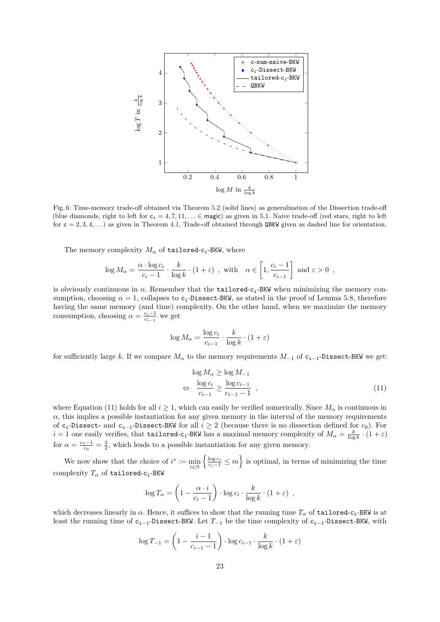<span id="page-22-0"></span>

Fig. 6: Time-memory trade-off obtained via Theorem [5.2](#page-20-0) (solid lines) as generalization of the Dissection trade-off (blue diamonds, right to left for  $c_i = 4, 7, 11, \ldots \in \text{magic}$ ) as given in [5.1.](#page-16-1) Naive trade-off (red stars, right to left for  $c = 2, 3, 4, \ldots$ ) as given in Theorem [4.1,](#page-8-1) Trade-off obtained through QBKW given as dashed line for orientation.

The memory complexity  $M_{\alpha}$  of tailored-c<sub>i</sub>-BKW, where

$$
\log M_{\alpha} = \frac{\alpha \cdot \log c_i}{c_i - 1} \cdot \frac{k}{\log k} \cdot (1 + \varepsilon) , \text{ with } \alpha \in \left[1, \frac{c_i - 1}{c_{i-1}}\right] \text{ and } \varepsilon > 0 ,
$$

is obviously continuous in  $\alpha$ . Remember that the **tailored-c<sub>i</sub>-BKW** when minimizing the memory consumption, choosing  $\alpha = 1$ , collapses to c<sub>i</sub>-Dissect-BKW, as stated in the proof of Lemma [5.8,](#page-18-4) therefore having the same memory (and time) complexity. On the other hand, when we maximize the memory consumption, choosing  $\alpha = \frac{c_i - 1}{c_i - 1}$  we get

$$
\log M_{\alpha} = \frac{\log c_i}{c_{i-1}} \cdot \frac{k}{\log k} \cdot (1 + \varepsilon)
$$

for sufficiently large *k*. If we compare  $M_{\alpha}$  to the memory requirements  $M_{-1}$  of  $c_{i-1}$ -Dissect-BKW we get:

<span id="page-22-1"></span>
$$
\log M_{\alpha} \ge \log M_{-1}
$$
  
\n
$$
\Leftrightarrow \frac{\log c_i}{c_{i-1}} \ge \frac{\log c_{i-1}}{c_{i-1} - 1} , \qquad (11)
$$

where Equation [\(11\)](#page-22-1) holds for all  $i \geq 1$ , which can easily be verified numerically. Since  $M_{\alpha}$  is continuous in  $\alpha$ , this implies a possible instantiation for any given memory in the interval of the memory requirements of ci-Dissect- and ci−1-Dissect-BKW for all *i* ≥ 2 (because there is no dissection defined for *c*0). For  $i = 1$  one easily verifies, that tailored-c<sub>1</sub>-BKW has a maximal memory complexity of  $M_\alpha = \frac{k}{\log k} \cdot (1 + \varepsilon)$ for  $\alpha = \frac{c_1 - 1}{c_0} = \frac{3}{2}$ , which leads to a possible instantiation for any given memory.

We now show that the choice of  $i^* := \min_{i \in \mathbb{N}}$  $\left\{\frac{\log c_i}{c_i-1} \leq m\right\}$  is optimal, in terms of minimizing the time complexity *T<sup>α</sup>* of tailored-ci-BKW

$$
\log T_{\alpha} = \left(1 - \frac{\alpha \cdot i}{c_i - 1}\right) \cdot \log c_i \cdot \frac{k}{\log k} \cdot (1 + \varepsilon) ,
$$

which decreases linearly in  $\alpha$ . Hence, it suffices to show that the running time  $T_{\alpha}$  of tailored-c<sub>i</sub>-BKW is at least the running time of ci−1-Dissect-BKW. Let *T*<sup>−</sup><sup>1</sup> be the time complexity of ci−1-Dissect-BKW, with

$$
\log T_{-1} = \left(1 - \frac{i-1}{c_{i-1} - 1}\right) \cdot \log c_{i-1} \cdot \frac{k}{\log k} \cdot (1 + \varepsilon)
$$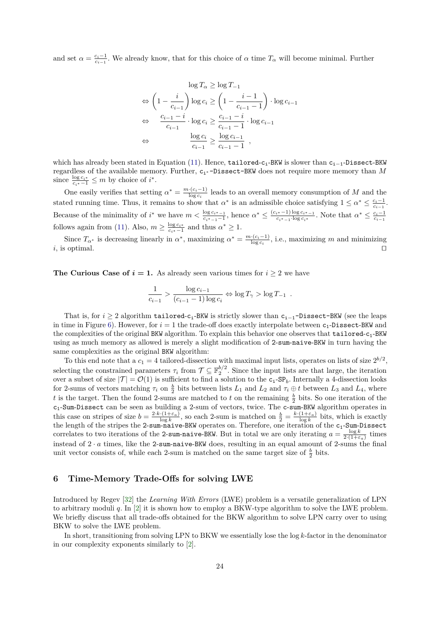and set  $\alpha = \frac{c_i-1}{c_{i-1}}$ . We already know, that for this choice of  $\alpha$  time  $T_\alpha$  will become minimal. Further

$$
\log T_{\alpha} \ge \log T_{-1}
$$
  
\n
$$
\Leftrightarrow \left(1 - \frac{i}{c_{i-1}}\right) \log c_i \ge \left(1 - \frac{i-1}{c_{i-1}-1}\right) \cdot \log c_{i-1}
$$
  
\n
$$
\Leftrightarrow \frac{c_{i-1} - i}{c_{i-1}} \cdot \log c_i \ge \frac{c_{i-1} - i}{c_{i-1} - 1} \cdot \log c_{i-1}
$$
  
\n
$$
\Leftrightarrow \frac{\log c_i}{c_{i-1}} \ge \frac{\log c_{i-1}}{c_{i-1} - 1} ,
$$

which has already been stated in Equation [\(11\)](#page-22-1). Hence, tailored-c<sub>i</sub>-BKW is slower than c<sub>i−1</sub>-Dissect-BKW regardless of the available memory. Further,  $c_i$ ∗-Dissect-BKW does not require more memory than *M* since  $\frac{\log c_i^*}{c_i^* - 1} \leq m$  by choice of  $i^*$ .

One easily verifies that setting  $\alpha^* = \frac{m \cdot (c_i - 1)}{\log c_i}$  $\frac{C^{i}(\mathcal{C}_{i}-1)}{\log c_{i}}$  leads to an overall memory consumption of *M* and the stated running time. Thus, it remains to show that  $\alpha^*$  is an admissible choice satisfying  $1 \leq \alpha^* \leq \frac{c_i-1}{c_{i-1}}$ . Because of the minimality of  $i^*$  we have  $m < \frac{\log c_i^* - 1}{c_i^* - 1}$ , hence  $\alpha^* \leq \frac{(c_i^* - 1) \log c_i^* - 1}{c_i^* - 1}$  $\frac{c_i^{*}-1\log c_i^{*}-1}{c_i^{*}-1\log c_i^{*}}$ . Note that  $\alpha^* \leq \frac{c_i-1}{c_{i-1}}$ follows again from [\(11\)](#page-22-1). Also,  $m \geq \frac{\log c_i^*}{c_i^* - 1}$  and thus  $\alpha^* \geq 1$ .

Since  $T_{\alpha^*}$  is decreasing linearly in  $\alpha^*$ , maximizing  $\alpha^* = \frac{m \cdot (c_i - 1)}{\log c_i}$  $\frac{d}{\log c_i}$ , i.e., maximizing *m* and minimizing *i*, is optimal.

**The Curious Case of**  $i = 1$ **. As already seen various times for**  $i \geq 2$  **we have** 

$$
\frac{1}{c_{i-1}} > \frac{\log c_{i-1}}{(c_{i-1} - 1) \log c_i} \Leftrightarrow \log T_\gamma > \log T_{-1} .
$$

That is, for *i* ≥ 2 algorithm tailored-c<sub>i</sub>-BKW is strictly slower than c<sub>i-1</sub>-Dissect-BKW (see the leaps in time in Figure [6\)](#page-22-0). However, for  $i = 1$  the trade-off does exactly interpolate between  $c_1$ -Dissect-BKW and the complexities of the original BKW algorithm. To explain this behavior one observes that tailored-c<sub>1</sub>-BKW using as much memory as allowed is merely a slight modification of 2-sum-naive-BKW in turn having the same complexities as the original BKW algorithm:

To this end note that a  $c_1 = 4$  tailored-dissection with maximal input lists, operates on lists of size  $2^{b/2}$ , selecting the constrained parameters  $\tau_i$  from  $\mathcal{T} \subseteq \mathbb{F}_2^{b/2}$ . Since the input lists are that large, the iteration over a subset of size  $|\mathcal{T}| = \mathcal{O}(1)$  is sufficient to find a solution to the  $c_i$ -SP<sub>b</sub>. Internally a 4-dissection looks for 2-sums of vectors matching  $\tau_i$  on  $\frac{b}{2}$  bits between lists  $L_1$  and  $L_2$  and  $\tau_i \oplus t$  between  $L_3$  and  $L_4$ , where *t* is the target. Then the found 2-sums are matched to *t* on the remaining  $\frac{b}{2}$  bits. So one iteration of the  $c_1$ -Sum-Dissect can be seen as building a 2-sum of vectors, twice. The c-sum-BKW algorithm operates in this case on stripes of size  $b = \frac{2 \cdot k \cdot (1 + \varepsilon_a)}{\log k}$ , so each 2-sum is matched on  $\frac{b}{2} = \frac{k \cdot (1 + \varepsilon_a)}{\log k}$  bits, which is exactly the length of the stripes the 2-sum-naive-BKW operates on. Therefore, one iteration of the  $c_1$ -Sum-Dissect correlates to two iterations of the 2-sum-naive-BKW. But in total we are only iterating  $a = \frac{\log k}{2(1+\varepsilon_a)}$  times instead of 2 · *a* times, like the 2-sum-naive-BKW does, resulting in an equal amount of 2-sums the final unit vector consists of, while each 2-sum is matched on the same target size of  $\frac{b}{2}$  bits.

## **6 Time-Memory Trade-Offs for solving LWE**

Introduced by Regev [\[32\]](#page-30-1) the *Learning With Errors* (LWE) problem is a versatile generalization of LPN to arbitrary moduli *q*. In [\[2\]](#page-29-13) it is shown how to employ a BKW-type algorithm to solve the LWE problem. We briefly discuss that all trade-offs obtained for the BKW algorithm to solve LPN carry over to using BKW to solve the LWE problem.

In short, transitioning from solving LPN to BKW we essentially lose the log *k*-factor in the denominator in our complexity exponents similarly to [\[2\]](#page-29-13).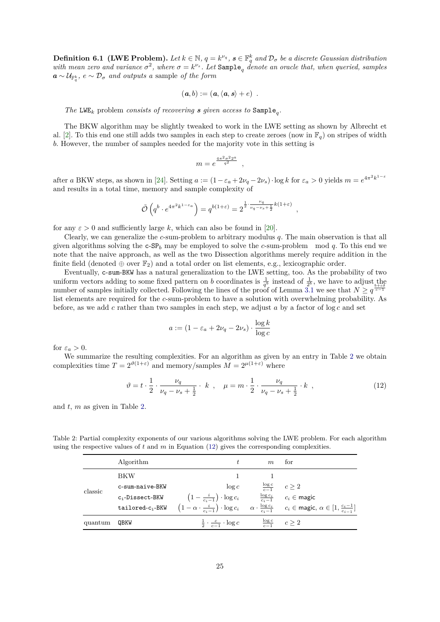**Definition 6.1 (LWE Problem).** Let  $k \in \mathbb{N}$ ,  $q = k^{\nu_q}$ ,  $s \in \mathbb{F}_q^k$  and  $\mathcal{D}_{\sigma}$  be a discrete Gaussian distribution with mean zero and variance  $\sigma^2$ , where  $\sigma = k^{\nu_s}$ . Let  $\texttt{Sample}_q$  denote an oracle that, when queried, samples  $a \sim \mathcal{U}_{\mathbb{F}_q^k}$ ,  $e \sim \mathcal{D}_{\sigma}$  *and outputs a* sample *of the form* 

$$
(\mathbf{a},b):=(\mathbf{a},\langle\mathbf{a},\mathbf{s}\rangle+e)\enspace.
$$

*The* LWE<sub>k</sub> problem *consists of recovering s given access to*  $\text{Sample}_q$ .

The BKW algorithm may be slightly tweaked to work in the LWE setting as shown by Albrecht et al. [\[2\]](#page-29-13). To this end one still adds two samples in each step to create zeroes (now in  $\mathbb{F}_q$ ) on stripes of width *b*. However, the number of samples needed for the majority vote in this setting is

$$
m = e^{\frac{4\pi^2 \sigma^2 2^a}{q^2}} \ ,
$$

after a BKW steps, as shown in [\[24\]](#page-30-21). Setting  $a := (1 - \varepsilon_a + 2\nu_q - 2\nu_s) \cdot \log k$  for  $\varepsilon_a > 0$  yields  $m = e^{4\pi^2 k^{1-\varepsilon}}$ and results in a total time, memory and sample complexity of

$$
\tilde{\mathcal{O}}\left(q^b \cdot e^{4\pi^2 k^{1-\varepsilon_a}}\right) = q^{b(1+\varepsilon)} = 2^{\frac{1}{2} \cdot \frac{\nu_q}{\nu_q - \nu_s + \frac{1}{2}} k(1+\varepsilon)},
$$

for any  $\varepsilon > 0$  and sufficiently large k, which can also be found in [\[20\]](#page-30-22).

Clearly, we can generalize the *c*-sum-problem to arbitrary modulus *q*. The main observation is that all given algorithms solving the c-SP*<sup>b</sup>* may be employed to solve the *c*-sum-problem mod *q*. To this end we note that the naive approach, as well as the two Dissection algorithms merely require addition in the finite field (denoted  $\oplus$  over  $\mathbb{F}_2$ ) and a total order on list elements, e.g., lexicographic order.

Eventually, c-sum-BKW has a natural generalization to the LWE setting, too. As the probability of two uniform vectors adding to some fixed pattern on *b* coordinates is  $\frac{1}{q^b}$  instead of  $\frac{1}{2^b}$ , we have to adjust the number of samples initially collected. Following the lines of the proof of Lemma [3.1](#page-5-1) we see that  $N \geq q^{\frac{b+\epsilon\delta}{c-1}}$ list elements are required for the *c*-sum-problem to have a solution with overwhelming probability. As before, as we add *c* rather than two samples in each step, we adjust *a* by a factor of log *c* and set

$$
a := (1 - \varepsilon_a + 2\nu_q - 2\nu_s) \cdot \frac{\log k}{\log c}
$$

for  $\varepsilon_a > 0$ .

We summarize the resulting complexities. For an algorithm as given by an entry in Table [2](#page-24-0) we obtain complexities time  $T = 2^{\vartheta(1+\varepsilon)}$  and memory/samples  $M = 2^{\mu(1+\varepsilon)}$  where

<span id="page-24-1"></span>
$$
\vartheta = t \cdot \frac{1}{2} \cdot \frac{\nu_q}{\nu_q - \nu_s + \frac{1}{2}} \cdot k \ , \quad \mu = m \cdot \frac{1}{2} \cdot \frac{\nu_q}{\nu_q - \nu_s + \frac{1}{2}} \cdot k \ , \tag{12}
$$

and *t*, *m* as given in Table [2.](#page-24-0)

<span id="page-24-0"></span>Table 2: Partial complexity exponents of our various algorithms solving the LWE problem. For each algorithm using the respective values of *t* and *m* in Equation [\(12\)](#page-24-1) gives the corresponding complexities.

|         | Algorithm          |                                                                                                      | m | for                                                                                                                                                                                            |
|---------|--------------------|------------------------------------------------------------------------------------------------------|---|------------------------------------------------------------------------------------------------------------------------------------------------------------------------------------------------|
| classic | BKW                |                                                                                                      |   |                                                                                                                                                                                                |
|         | c-sum-naive-BKW    | $\log c$                                                                                             |   | $\frac{\log c}{c-1}$ $c \geq 2$                                                                                                                                                                |
|         | $c_i$ -Dissect-BKW | $\left(1-\frac{i}{c_i-1}\right)\cdot\log c_i$ $\qquad \frac{\log c_i}{c_i-1}$ $c_i \in \text{magic}$ |   |                                                                                                                                                                                                |
|         |                    |                                                                                                      |   | tailored-c <sub>i</sub> -BKW $\left(1-\alpha\cdot\frac{i}{c_i-1}\right)\cdot\log c_i$ $\alpha\cdot\frac{\log c_i}{c_i-1}$ $c_i\in \text{magic}, \ \alpha\in\left[1,\frac{c_i-1}{c_i-1}\right]$ |
| quantum | QBKW               | $\frac{1}{2} \cdot \frac{c}{c-1} \cdot \log c$                                                       |   | $\frac{\log c}{c-1}$ $c \geq 2$                                                                                                                                                                |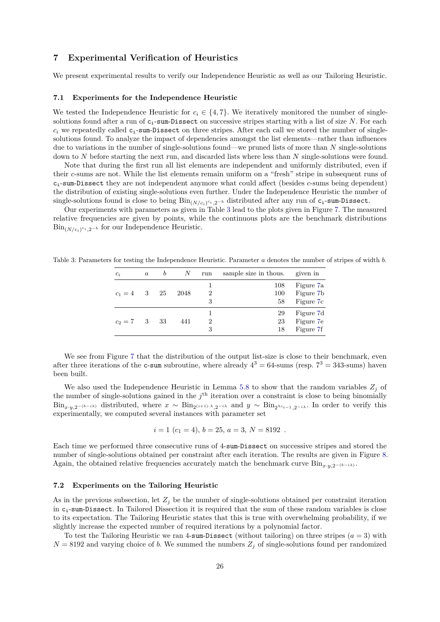## **7 Experimental Verification of Heuristics**

We present experimental results to verify our Independence Heuristic as well as our Tailoring Heuristic.

#### <span id="page-25-0"></span>**7.1 Experiments for the Independence Heuristic**

We tested the Independence Heuristic for  $c_i \in \{4, 7\}$ . We iteratively monitored the number of singlesolutions found after a run of  $c_i$ -sum-Dissect on successive stripes starting with a list of size N. For each  $c_i$  we repeatedly called  $c_i$ -sum-Dissect on three stripes. After each call we stored the number of singlesolutions found. To analyze the impact of dependencies amongst the list elements—rather than influences due to variations in the number of single-solutions found—we pruned lists of more than *N* single-solutions down to *N* before starting the next run, and discarded lists where less than *N* single-solutions were found.

Note that during the first run all list elements are independent and uniformly distributed, even if their *c*-sums are not. While the list elements remain uniform on a "fresh" stripe in subsequent runs of ci-sum-Dissect they are not independent anymore what could affect (besides *c*-sums being dependent) the distribution of existing single-solutions even further. Under the Independence Heuristic the number of  $single-solutions$  found is close to being  $\mathrm{Bin}_{(N/c_i)^{c_i},2^{-b}}$  distributed after any run of  $\mathsf{c_i\text{-}sum\text{-}Dissect.}}$ 

Our experiments with parameters as given in Table [3](#page-25-2) lead to the plots given in Figure [7.](#page-26-0) The measured relative frequencies are given by points, while the continuous plots are the benchmark distributions  $\text{Bin}_{(N/c_i)^{c_i}, 2^{-b}}$  for our Independence Heuristic.

<span id="page-25-2"></span>Table 3: Parameters for testing the Independence Heuristic. Parameter *a* denotes the number of stripes of width *b*.

| $c_i$             | $\boldsymbol{a}$ | b   | N    | run | sample size in thous. | given in               |
|-------------------|------------------|-----|------|-----|-----------------------|------------------------|
| $c_1 = 4$         | - 3              | -25 | 2048 | 2   | 108<br>100            | Figure 7a<br>Figure 7b |
|                   |                  |     |      | 3   | 58                    | Figure 7c              |
|                   |                  |     |      |     | 29                    | Figure 7d              |
| $c_2 = 7 \quad 3$ |                  | -33 | 441  | 2   | 23                    | Figure 7e              |
|                   |                  |     |      | 3   | 18                    | Figure 7f              |

We see from Figure [7](#page-26-0) that the distribution of the output list-size is close to their benchmark, even after three iterations of the c-sum subroutine, where already  $4^3 = 64$ -sums (resp.  $7^3 = 343$ -sums) haven been built.

We also used the Independence Heuristic in Lemma [5.8](#page-18-4) to show that the random variables  $Z_j$  of the number of single-solutions gained in the  $j<sup>th</sup>$  iteration over a constraint is close to being binomially  $\text{Bin}_{x \cdot y, 2^{-(b-i\lambda)}}$  distributed, where  $x \sim \text{Bin}_{2^{(i+1)} \cdot \lambda, 2^{-i\lambda}}$  and  $y \sim \text{Bin}_{2^{\lambda c_{i-1}}, 2^{-i\lambda}}$ . In order to verify this experimentally, we computed several instances with parameter set

$$
i = 1 \ (c_1 = 4), \, b = 25, \, a = 3, \, N = 8192 \, .
$$

Each time we performed three consecutive runs of 4-sum-Dissect on successive stripes and stored the number of single-solutions obtained per constraint after each iteration. The results are given in Figure [8.](#page-27-0) Again, the obtained relative frequencies accurately match the benchmark curve Bin<sub>*x*</sub>·*y*<sub>2</sub>−(*b*−*i* $\lambda$ ).

#### <span id="page-25-1"></span>**7.2 Experiments on the Tailoring Heuristic**

As in the previous subsection, let  $Z_i$  be the number of single-solutions obtained per constraint iteration in  $c_i$ -sum-Dissect. In Tailored Dissection it is required that the sum of these random variables is close to its expectation. The Tailoring Heuristic states that this is true with overwhelming probability, if we slightly increase the expected number of required iterations by a polynomial factor.

To test the Tailoring Heuristic we ran 4-sum-Dissect (without tailoring) on three stripes  $(a = 3)$  with  $N = 8192$  and varying choice of *b*. We summed the numbers  $Z_j$  of single-solutions found per randomized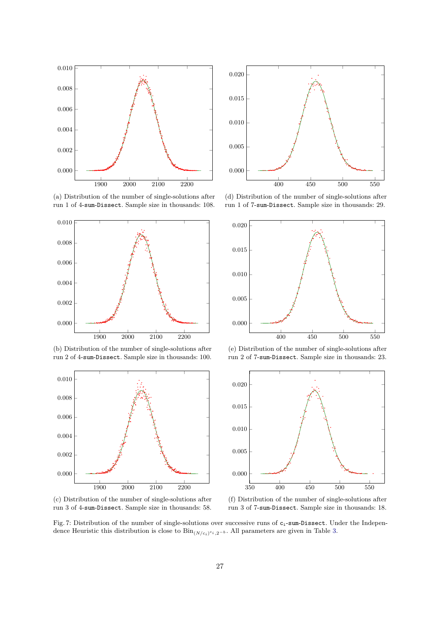<span id="page-26-0"></span>

(a) Distribution of the number of single-solutions after run 1 of 4-sum-Dissect. Sample size in thousands: 108.



(b) Distribution of the number of single-solutions after run 2 of 4-sum-Dissect. Sample size in thousands: 100.



(c) Distribution of the number of single-solutions after run 3 of 4-sum-Dissect. Sample size in thousands: 58.



(d) Distribution of the number of single-solutions after run 1 of 7-sum-Dissect. Sample size in thousands: 29.



(e) Distribution of the number of single-solutions after run 2 of 7-sum-Dissect. Sample size in thousands: 23.



(f) Distribution of the number of single-solutions after run 3 of 7-sum-Dissect. Sample size in thousands: 18.

Fig. 7: Distribution of the number of single-solutions over successive runs of c<sub>i</sub>-sum-Dissect. Under the Independence Heuristic this distribution is close to Bin(*N/ci*) *ci ,*2−*<sup>b</sup>* . All parameters are given in Table [3.](#page-25-2)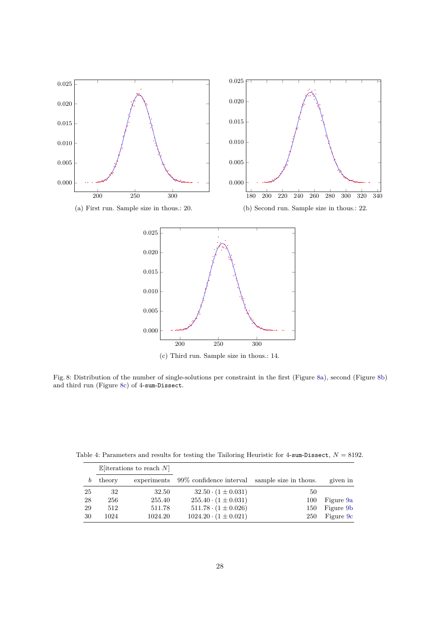<span id="page-27-0"></span>

(c) Third run. Sample size in thous.: 14.

Fig. 8: Distribution of the number of single-solutions per constraint in the first (Figure [8a\)](#page-27-0), second (Figure [8b\)](#page-27-0) and third run (Figure [8c\)](#page-27-0) of 4-sum-Dissect.

<span id="page-27-1"></span>Table 4: Parameters and results for testing the Tailoring Heuristic for -sum-Dissect,  $N = 8192$ .

|    | $\mathbb{E}$ [iterations to reach N] |             |                                                |     |           |
|----|--------------------------------------|-------------|------------------------------------------------|-----|-----------|
| b  | theory                               | experiments | 99\% confidence interval sample size in thous. |     | given in  |
| 25 | 32                                   | 32.50       | $32.50 \cdot (1 \pm 0.031)$                    | 50  |           |
| 28 | 256                                  | 255.40      | $255.40 \cdot (1 \pm 0.031)$                   | 100 | Figure 9a |
| 29 | 512                                  | 511.78      | $511.78 \cdot (1 \pm 0.026)$                   | 150 | Figure 9b |
| 30 | 1024                                 | 1024.20     | $1024.20 \cdot (1 \pm 0.021)$                  | 250 | Figure 9c |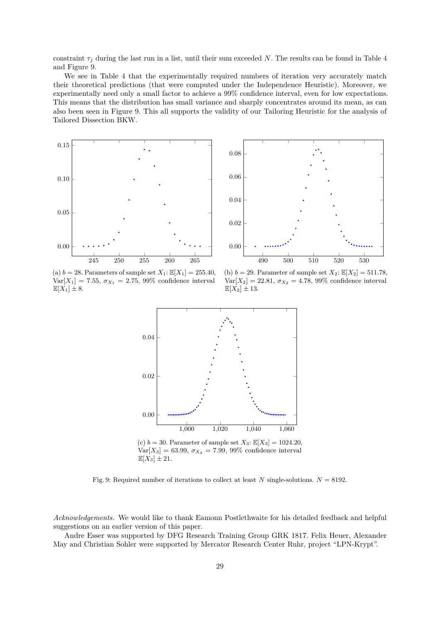constraint  $\tau_j$  during the last run in a list, until their sum exceeded N. The results can be found in Table [4](#page-27-1) and Figure [9.](#page-28-0)

We see in Table [4](#page-27-1) that the experimentally required numbers of iteration very accurately match their theoretical predictions (that were computed under the Independence Heuristic). Moreover, we experimentally need only a small factor to achieve a 99% confidence interval, even for low expectations. This means that the distribution has small variance and sharply concentrates around its mean, as can also been seen in Figure [9.](#page-28-0) This all supports the validity of our Tailoring Heuristic for the analysis of Tailored Dissection BKW.

<span id="page-28-0"></span>



(a)  $b = 28$ . Parameters of sample set  $X_1$ :  $\mathbb{E}[X_1] = 255.40$ ,  $Var[X_1] = 7.55, \sigma_{X_1} = 2.75, 99\%$  confidence interval  $\mathbb{E}[X_1] \pm 8.$ 

(b) *b* = 29. Parameter of sample set  $X_2$ :  $\mathbb{E}[X_2] = 511.78$ ,  $Var[X_2] = 22.81, \sigma_{X_2} = 4.78, 99\%$  confidence interval  $\mathbb{E}[X_2] \pm 13.$ 



(c)  $b = 30$ . Parameter of sample set  $X_3$ :  $\mathbb{E}[X_3] = 1024.20$ ,  $Var[X_3] = 63.99, \sigma_{X_3} = 7.99, 99\%$  confidence interval  $\mathbb{E}[X_3] \pm 21.$ 

Fig. 9: Required number of iterations to collect at least *N* single-solutions.  $N = 8192$ .

*Acknowledgements.* We would like to thank Eamonn Postlethwaite for his detailed feedback and helpful suggestions on an earlier version of this paper.

Andre Esser was supported by DFG Research Training Group GRK 1817. Felix Heuer, Alexander May and Christian Sohler were supported by Mercator Research Center Ruhr, project "LPN-Krypt".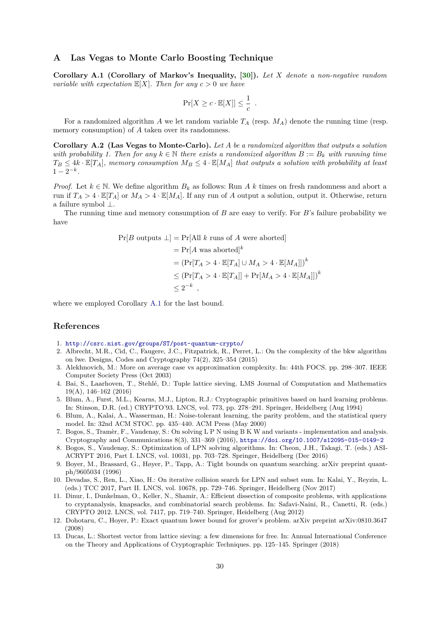## <span id="page-29-10"></span>**A Las Vegas to Monte Carlo Boosting Technique**

<span id="page-29-14"></span>**Corollary A.1 (Corollary of Markov's Inequality, [\[30\]](#page-30-17)).** *Let X denote a non-negative random variable with expectation*  $\mathbb{E}[X]$ *. Then for any*  $c > 0$  *we have* 

$$
\Pr[X \ge c \cdot \mathbb{E}[X]] \le \frac{1}{c} .
$$

For a randomized algorithm *A* we let random variable  $T_A$  (resp.  $M_A$ ) denote the running time (resp. memory consumption) of *A* taken over its randomness.

**Corollary A.2 (Las Vegas to Monte-Carlo).** *Let A be a randomized algorithm that outputs a solution with probability 1. Then for any*  $k \in \mathbb{N}$  *there exists a randomized algorithm*  $B := B_k$  *with running time*  $T_B \leq 4k \cdot \mathbb{E}[T_A]$ *, memory consumption*  $M_B \leq 4 \cdot \mathbb{E}[M_A]$  *that outputs a solution with probability at least*  $1 - 2^{-k}$ .

*Proof.* Let  $k \in \mathbb{N}$ . We define algorithm  $B_k$  as follows: Run *A* k times on fresh randomness and abort a run if  $T_A > 4 \cdot \mathbb{E}[T_A]$  or  $M_A > 4 \cdot \mathbb{E}[M_A]$ . If any run of *A* output a solution, output it. Otherwise, return a failure symbol ⊥.

The running time and memory consumption of *B* are easy to verify. For *B*'s failure probability we have

$$
Pr[B \text{ outputs } \perp] = Pr[All k \text{ runs of } A \text{ were aborted}]
$$
  
= 
$$
Pr[A \text{ was aborted}]^k
$$
  
= 
$$
(Pr[T_A > 4 \cdot \mathbb{E}[T_A] \cup M_A > 4 \cdot \mathbb{E}[M_A]])^k
$$
  

$$
\leq (Pr[T_A > 4 \cdot \mathbb{E}[T_A]] + Pr[M_A > 4 \cdot \mathbb{E}[M_A]])^k
$$
  

$$
\leq 2^{-k},
$$

where we employed Corollary [A.1](#page-29-14) for the last bound.

## **References**

- <span id="page-29-2"></span>1. <http://csrc.nist.gov/groups/ST/post-quantum-crypto/>
- <span id="page-29-13"></span>2. Albrecht, M.R., Cid, C., Faugere, J.C., Fitzpatrick, R., Perret, L.: On the complexity of the bkw algorithm on lwe. Designs, Codes and Cryptography 74(2), 325–354 (2015)
- <span id="page-29-1"></span>3. Alekhnovich, M.: More on average case vs approximation complexity. In: 44th FOCS. pp. 298–307. IEEE Computer Society Press (Oct 2003)
- <span id="page-29-5"></span>4. Bai, S., Laarhoven, T., Stehlé, D.: Tuple lattice sieving. LMS Journal of Computation and Mathematics 19(A), 146–162 (2016)
- <span id="page-29-0"></span>5. Blum, A., Furst, M.L., Kearns, M.J., Lipton, R.J.: Cryptographic primitives based on hard learning problems. In: Stinson, D.R. (ed.) CRYPTO'93. LNCS, vol. 773, pp. 278–291. Springer, Heidelberg (Aug 1994)
- <span id="page-29-3"></span>6. Blum, A., Kalai, A., Wasserman, H.: Noise-tolerant learning, the parity problem, and the statistical query model. In: 32nd ACM STOC. pp. 435–440. ACM Press (May 2000)
- <span id="page-29-8"></span>7. Bogos, S., Tramèr, F., Vaudenay, S.: On solving L P N using B K W and variants - implementation and analysis. Cryptography and Communications 8(3), 331–369 (2016), <https://doi.org/10.1007/s12095-015-0149-2>
- <span id="page-29-6"></span>8. Bogos, S., Vaudenay, S.: Optimization of LPN solving algorithms. In: Cheon, J.H., Takagi, T. (eds.) ASI-ACRYPT 2016, Part I. LNCS, vol. 10031, pp. 703–728. Springer, Heidelberg (Dec 2016)
- <span id="page-29-12"></span>9. Boyer, M., Brassard, G., Høyer, P., Tapp, A.: Tight bounds on quantum searching. arXiv preprint quantph/9605034 (1996)
- <span id="page-29-9"></span>10. Devadas, S., Ren, L., Xiao, H.: On iterative collision search for LPN and subset sum. In: Kalai, Y., Reyzin, L. (eds.) TCC 2017, Part II. LNCS, vol. 10678, pp. 729–746. Springer, Heidelberg (Nov 2017)
- <span id="page-29-7"></span>11. Dinur, I., Dunkelman, O., Keller, N., Shamir, A.: Efficient dissection of composite problems, with applications to cryptanalysis, knapsacks, and combinatorial search problems. In: Safavi-Naini, R., Canetti, R. (eds.) CRYPTO 2012. LNCS, vol. 7417, pp. 719–740. Springer, Heidelberg (Aug 2012)
- <span id="page-29-11"></span>12. Dohotaru, C., Hoyer, P.: Exact quantum lower bound for grover's problem. arXiv preprint arXiv:0810.3647 (2008)
- <span id="page-29-4"></span>13. Ducas, L.: Shortest vector from lattice sieving: a few dimensions for free. In: Annual International Conference on the Theory and Applications of Cryptographic Techniques. pp. 125–145. Springer (2018)